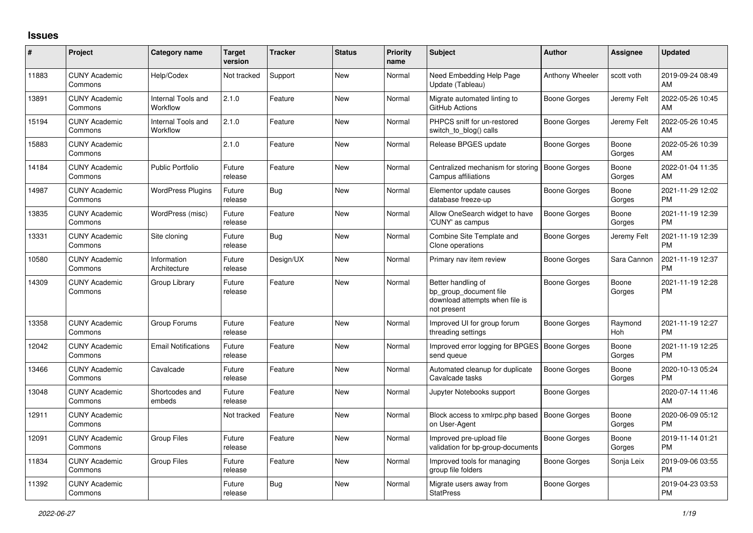## **Issues**

| #     | Project                         | <b>Category name</b>           | <b>Target</b><br>version | <b>Tracker</b> | <b>Status</b> | <b>Priority</b><br>name | <b>Subject</b>                                                                                | <b>Author</b>       | <b>Assignee</b> | <b>Updated</b>                |
|-------|---------------------------------|--------------------------------|--------------------------|----------------|---------------|-------------------------|-----------------------------------------------------------------------------------------------|---------------------|-----------------|-------------------------------|
| 11883 | <b>CUNY Academic</b><br>Commons | Help/Codex                     | Not tracked              | Support        | <b>New</b>    | Normal                  | Need Embedding Help Page<br>Update (Tableau)                                                  | Anthony Wheeler     | scott voth      | 2019-09-24 08:49<br>AM        |
| 13891 | <b>CUNY Academic</b><br>Commons | Internal Tools and<br>Workflow | 2.1.0                    | Feature        | <b>New</b>    | Normal                  | Migrate automated linting to<br>GitHub Actions                                                | Boone Gorges        | Jeremy Felt     | 2022-05-26 10:45<br>AM        |
| 15194 | <b>CUNY Academic</b><br>Commons | Internal Tools and<br>Workflow | 2.1.0                    | Feature        | <b>New</b>    | Normal                  | PHPCS sniff for un-restored<br>switch_to_blog() calls                                         | Boone Gorges        | Jeremy Felt     | 2022-05-26 10:45<br>AM        |
| 15883 | <b>CUNY Academic</b><br>Commons |                                | 2.1.0                    | Feature        | <b>New</b>    | Normal                  | Release BPGES update                                                                          | Boone Gorges        | Boone<br>Gorges | 2022-05-26 10:39<br>AM        |
| 14184 | <b>CUNY Academic</b><br>Commons | <b>Public Portfolio</b>        | Future<br>release        | Feature        | <b>New</b>    | Normal                  | Centralized mechanism for storing<br><b>Campus affiliations</b>                               | <b>Boone Gorges</b> | Boone<br>Gorges | 2022-01-04 11:35<br>AM        |
| 14987 | <b>CUNY Academic</b><br>Commons | <b>WordPress Plugins</b>       | Future<br>release        | Bug            | <b>New</b>    | Normal                  | Elementor update causes<br>database freeze-up                                                 | Boone Gorges        | Boone<br>Gorges | 2021-11-29 12:02<br><b>PM</b> |
| 13835 | <b>CUNY Academic</b><br>Commons | WordPress (misc)               | Future<br>release        | Feature        | New           | Normal                  | Allow OneSearch widget to have<br>'CUNY' as campus                                            | Boone Gorges        | Boone<br>Gorges | 2021-11-19 12:39<br><b>PM</b> |
| 13331 | <b>CUNY Academic</b><br>Commons | Site cloning                   | Future<br>release        | Bug            | <b>New</b>    | Normal                  | Combine Site Template and<br>Clone operations                                                 | Boone Gorges        | Jeremy Felt     | 2021-11-19 12:39<br><b>PM</b> |
| 10580 | <b>CUNY Academic</b><br>Commons | Information<br>Architecture    | Future<br>release        | Design/UX      | New           | Normal                  | Primary nav item review                                                                       | Boone Gorges        | Sara Cannon     | 2021-11-19 12:37<br><b>PM</b> |
| 14309 | <b>CUNY Academic</b><br>Commons | Group Library                  | Future<br>release        | Feature        | <b>New</b>    | Normal                  | Better handling of<br>bp_group_document file<br>download attempts when file is<br>not present | Boone Gorges        | Boone<br>Gorges | 2021-11-19 12:28<br><b>PM</b> |
| 13358 | <b>CUNY Academic</b><br>Commons | Group Forums                   | Future<br>release        | Feature        | <b>New</b>    | Normal                  | Improved UI for group forum<br>threading settings                                             | Boone Gorges        | Raymond<br>Hoh  | 2021-11-19 12:27<br><b>PM</b> |
| 12042 | <b>CUNY Academic</b><br>Commons | <b>Email Notifications</b>     | Future<br>release        | Feature        | New           | Normal                  | Improved error logging for BPGES   Boone Gorges<br>send queue                                 |                     | Boone<br>Gorges | 2021-11-19 12:25<br><b>PM</b> |
| 13466 | <b>CUNY Academic</b><br>Commons | Cavalcade                      | Future<br>release        | Feature        | <b>New</b>    | Normal                  | Automated cleanup for duplicate<br>Cavalcade tasks                                            | Boone Gorges        | Boone<br>Gorges | 2020-10-13 05:24<br><b>PM</b> |
| 13048 | <b>CUNY Academic</b><br>Commons | Shortcodes and<br>embeds       | Future<br>release        | Feature        | <b>New</b>    | Normal                  | Jupyter Notebooks support                                                                     | Boone Gorges        |                 | 2020-07-14 11:46<br>AM        |
| 12911 | <b>CUNY Academic</b><br>Commons |                                | Not tracked              | Feature        | <b>New</b>    | Normal                  | Block access to xmlrpc.php based<br>on User-Agent                                             | <b>Boone Gorges</b> | Boone<br>Gorges | 2020-06-09 05:12<br><b>PM</b> |
| 12091 | <b>CUNY Academic</b><br>Commons | <b>Group Files</b>             | Future<br>release        | Feature        | <b>New</b>    | Normal                  | Improved pre-upload file<br>validation for bp-group-documents                                 | Boone Gorges        | Boone<br>Gorges | 2019-11-14 01:21<br><b>PM</b> |
| 11834 | <b>CUNY Academic</b><br>Commons | <b>Group Files</b>             | Future<br>release        | Feature        | <b>New</b>    | Normal                  | Improved tools for managing<br>group file folders                                             | Boone Gorges        | Sonja Leix      | 2019-09-06 03:55<br><b>PM</b> |
| 11392 | <b>CUNY Academic</b><br>Commons |                                | Future<br>release        | Bug            | <b>New</b>    | Normal                  | Migrate users away from<br><b>StatPress</b>                                                   | Boone Gorges        |                 | 2019-04-23 03:53<br><b>PM</b> |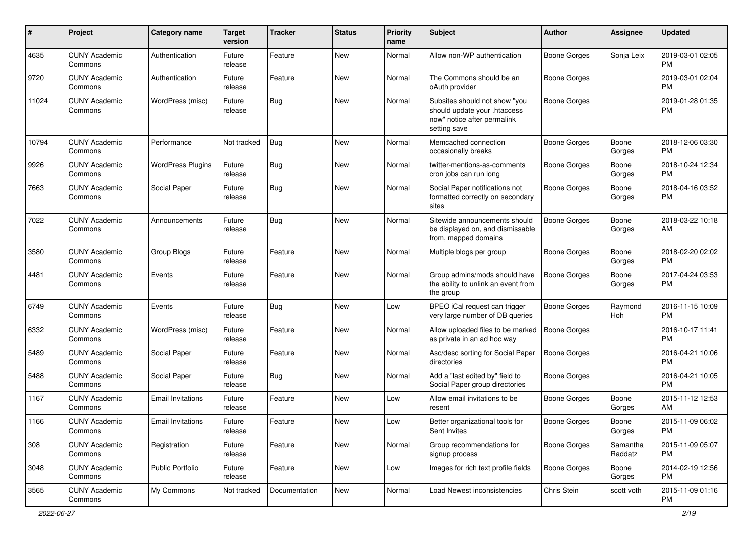| #     | Project                         | <b>Category name</b>     | <b>Target</b><br>version | <b>Tracker</b> | <b>Status</b> | <b>Priority</b><br>name | <b>Subject</b>                                                                                               | Author              | <b>Assignee</b>     | <b>Updated</b>                |
|-------|---------------------------------|--------------------------|--------------------------|----------------|---------------|-------------------------|--------------------------------------------------------------------------------------------------------------|---------------------|---------------------|-------------------------------|
| 4635  | <b>CUNY Academic</b><br>Commons | Authentication           | Future<br>release        | Feature        | New           | Normal                  | Allow non-WP authentication                                                                                  | <b>Boone Gorges</b> | Sonja Leix          | 2019-03-01 02:05<br>PM        |
| 9720  | <b>CUNY Academic</b><br>Commons | Authentication           | Future<br>release        | Feature        | New           | Normal                  | The Commons should be an<br>oAuth provider                                                                   | <b>Boone Gorges</b> |                     | 2019-03-01 02:04<br><b>PM</b> |
| 11024 | <b>CUNY Academic</b><br>Commons | WordPress (misc)         | Future<br>release        | Bug            | New           | Normal                  | Subsites should not show "you<br>should update your .htaccess<br>now" notice after permalink<br>setting save | <b>Boone Gorges</b> |                     | 2019-01-28 01:35<br><b>PM</b> |
| 10794 | <b>CUNY Academic</b><br>Commons | Performance              | Not tracked              | <b>Bug</b>     | <b>New</b>    | Normal                  | Memcached connection<br>occasionally breaks                                                                  | Boone Gorges        | Boone<br>Gorges     | 2018-12-06 03:30<br><b>PM</b> |
| 9926  | <b>CUNY Academic</b><br>Commons | <b>WordPress Plugins</b> | Future<br>release        | Bug            | New           | Normal                  | twitter-mentions-as-comments<br>cron jobs can run long                                                       | <b>Boone Gorges</b> | Boone<br>Gorges     | 2018-10-24 12:34<br><b>PM</b> |
| 7663  | <b>CUNY Academic</b><br>Commons | Social Paper             | Future<br>release        | Bug            | New           | Normal                  | Social Paper notifications not<br>formatted correctly on secondary<br>sites                                  | <b>Boone Gorges</b> | Boone<br>Gorges     | 2018-04-16 03:52<br>PM        |
| 7022  | <b>CUNY Academic</b><br>Commons | Announcements            | Future<br>release        | Bug            | New           | Normal                  | Sitewide announcements should<br>be displayed on, and dismissable<br>from, mapped domains                    | <b>Boone Gorges</b> | Boone<br>Gorges     | 2018-03-22 10:18<br>AM        |
| 3580  | <b>CUNY Academic</b><br>Commons | Group Blogs              | Future<br>release        | Feature        | New           | Normal                  | Multiple blogs per group                                                                                     | <b>Boone Gorges</b> | Boone<br>Gorges     | 2018-02-20 02:02<br><b>PM</b> |
| 4481  | <b>CUNY Academic</b><br>Commons | Events                   | Future<br>release        | Feature        | <b>New</b>    | Normal                  | Group admins/mods should have<br>the ability to unlink an event from<br>the group                            | <b>Boone Gorges</b> | Boone<br>Gorges     | 2017-04-24 03:53<br><b>PM</b> |
| 6749  | <b>CUNY Academic</b><br>Commons | Events                   | Future<br>release        | Bug            | New           | Low                     | BPEO iCal request can trigger<br>very large number of DB queries                                             | Boone Gorges        | Raymond<br>Hoh      | 2016-11-15 10:09<br><b>PM</b> |
| 6332  | <b>CUNY Academic</b><br>Commons | WordPress (misc)         | Future<br>release        | Feature        | New           | Normal                  | Allow uploaded files to be marked<br>as private in an ad hoc way                                             | <b>Boone Gorges</b> |                     | 2016-10-17 11:41<br><b>PM</b> |
| 5489  | <b>CUNY Academic</b><br>Commons | Social Paper             | Future<br>release        | Feature        | New           | Normal                  | Asc/desc sorting for Social Paper<br>directories                                                             | <b>Boone Gorges</b> |                     | 2016-04-21 10:06<br><b>PM</b> |
| 5488  | <b>CUNY Academic</b><br>Commons | Social Paper             | Future<br>release        | Bug            | New           | Normal                  | Add a "last edited by" field to<br>Social Paper group directories                                            | <b>Boone Gorges</b> |                     | 2016-04-21 10:05<br><b>PM</b> |
| 1167  | <b>CUNY Academic</b><br>Commons | <b>Email Invitations</b> | Future<br>release        | Feature        | <b>New</b>    | Low                     | Allow email invitations to be<br>resent                                                                      | <b>Boone Gorges</b> | Boone<br>Gorges     | 2015-11-12 12:53<br>AM        |
| 1166  | <b>CUNY Academic</b><br>Commons | <b>Email Invitations</b> | Future<br>release        | Feature        | New           | Low                     | Better organizational tools for<br>Sent Invites                                                              | <b>Boone Gorges</b> | Boone<br>Gorges     | 2015-11-09 06:02<br><b>PM</b> |
| 308   | <b>CUNY Academic</b><br>Commons | Registration             | Future<br>release        | Feature        | New           | Normal                  | Group recommendations for<br>signup process                                                                  | <b>Boone Gorges</b> | Samantha<br>Raddatz | 2015-11-09 05:07<br><b>PM</b> |
| 3048  | <b>CUNY Academic</b><br>Commons | <b>Public Portfolio</b>  | Future<br>release        | Feature        | New           | Low                     | Images for rich text profile fields                                                                          | <b>Boone Gorges</b> | Boone<br>Gorges     | 2014-02-19 12:56<br><b>PM</b> |
| 3565  | <b>CUNY Academic</b><br>Commons | My Commons               | Not tracked              | Documentation  | New           | Normal                  | Load Newest inconsistencies                                                                                  | Chris Stein         | scott voth          | 2015-11-09 01:16<br>PM        |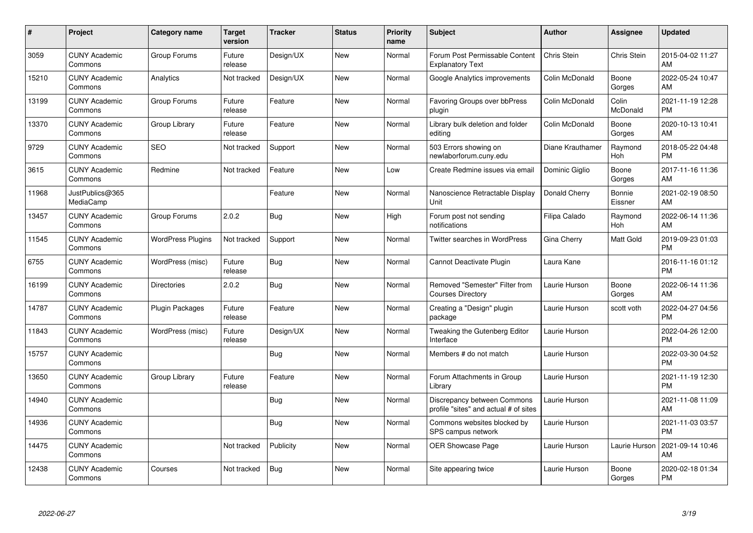| $\pmb{\#}$ | Project                         | <b>Category name</b>     | <b>Target</b><br>version | <b>Tracker</b> | <b>Status</b> | <b>Priority</b><br>name | Subject                                                              | <b>Author</b>    | <b>Assignee</b>       | <b>Updated</b>                |
|------------|---------------------------------|--------------------------|--------------------------|----------------|---------------|-------------------------|----------------------------------------------------------------------|------------------|-----------------------|-------------------------------|
| 3059       | <b>CUNY Academic</b><br>Commons | Group Forums             | Future<br>release        | Design/UX      | <b>New</b>    | Normal                  | Forum Post Permissable Content<br><b>Explanatory Text</b>            | Chris Stein      | Chris Stein           | 2015-04-02 11:27<br>AM        |
| 15210      | <b>CUNY Academic</b><br>Commons | Analytics                | Not tracked              | Design/UX      | <b>New</b>    | Normal                  | Google Analytics improvements                                        | Colin McDonald   | Boone<br>Gorges       | 2022-05-24 10:47<br>AM        |
| 13199      | <b>CUNY Academic</b><br>Commons | Group Forums             | Future<br>release        | Feature        | <b>New</b>    | Normal                  | Favoring Groups over bbPress<br>plugin                               | Colin McDonald   | Colin<br>McDonald     | 2021-11-19 12:28<br><b>PM</b> |
| 13370      | <b>CUNY Academic</b><br>Commons | Group Library            | Future<br>release        | Feature        | <b>New</b>    | Normal                  | Library bulk deletion and folder<br>editing                          | Colin McDonald   | Boone<br>Gorges       | 2020-10-13 10:41<br>AM        |
| 9729       | <b>CUNY Academic</b><br>Commons | <b>SEO</b>               | Not tracked              | Support        | <b>New</b>    | Normal                  | 503 Errors showing on<br>newlaborforum.cuny.edu                      | Diane Krauthamer | Raymond<br>Hoh        | 2018-05-22 04:48<br><b>PM</b> |
| 3615       | <b>CUNY Academic</b><br>Commons | Redmine                  | Not tracked              | Feature        | <b>New</b>    | Low                     | Create Redmine issues via email                                      | Dominic Giglio   | Boone<br>Gorges       | 2017-11-16 11:36<br>AM        |
| 11968      | JustPublics@365<br>MediaCamp    |                          |                          | Feature        | <b>New</b>    | Normal                  | Nanoscience Retractable Display<br>Unit                              | Donald Cherry    | Bonnie<br>Eissner     | 2021-02-19 08:50<br>AM        |
| 13457      | <b>CUNY Academic</b><br>Commons | Group Forums             | 2.0.2                    | <b>Bug</b>     | <b>New</b>    | High                    | Forum post not sending<br>notifications                              | Filipa Calado    | Raymond<br><b>Hoh</b> | 2022-06-14 11:36<br>AM        |
| 11545      | <b>CUNY Academic</b><br>Commons | <b>WordPress Plugins</b> | Not tracked              | Support        | <b>New</b>    | Normal                  | Twitter searches in WordPress                                        | Gina Cherry      | <b>Matt Gold</b>      | 2019-09-23 01:03<br><b>PM</b> |
| 6755       | <b>CUNY Academic</b><br>Commons | WordPress (misc)         | Future<br>release        | Bug            | <b>New</b>    | Normal                  | Cannot Deactivate Plugin                                             | Laura Kane       |                       | 2016-11-16 01:12<br><b>PM</b> |
| 16199      | <b>CUNY Academic</b><br>Commons | <b>Directories</b>       | 2.0.2                    | Bug            | New           | Normal                  | Removed "Semester" Filter from<br><b>Courses Directory</b>           | Laurie Hurson    | Boone<br>Gorges       | 2022-06-14 11:36<br>AM        |
| 14787      | <b>CUNY Academic</b><br>Commons | Plugin Packages          | Future<br>release        | Feature        | <b>New</b>    | Normal                  | Creating a "Design" plugin<br>package                                | Laurie Hurson    | scott voth            | 2022-04-27 04:56<br><b>PM</b> |
| 11843      | <b>CUNY Academic</b><br>Commons | WordPress (misc)         | Future<br>release        | Design/UX      | <b>New</b>    | Normal                  | Tweaking the Gutenberg Editor<br>Interface                           | Laurie Hurson    |                       | 2022-04-26 12:00<br><b>PM</b> |
| 15757      | <b>CUNY Academic</b><br>Commons |                          |                          | <b>Bug</b>     | <b>New</b>    | Normal                  | Members # do not match                                               | Laurie Hurson    |                       | 2022-03-30 04:52<br><b>PM</b> |
| 13650      | <b>CUNY Academic</b><br>Commons | Group Library            | Future<br>release        | Feature        | <b>New</b>    | Normal                  | Forum Attachments in Group<br>Librarv                                | Laurie Hurson    |                       | 2021-11-19 12:30<br><b>PM</b> |
| 14940      | <b>CUNY Academic</b><br>Commons |                          |                          | Bug            | <b>New</b>    | Normal                  | Discrepancy between Commons<br>profile "sites" and actual # of sites | Laurie Hurson    |                       | 2021-11-08 11:09<br>AM        |
| 14936      | <b>CUNY Academic</b><br>Commons |                          |                          | Bug            | <b>New</b>    | Normal                  | Commons websites blocked by<br>SPS campus network                    | Laurie Hurson    |                       | 2021-11-03 03:57<br><b>PM</b> |
| 14475      | <b>CUNY Academic</b><br>Commons |                          | Not tracked              | Publicity      | <b>New</b>    | Normal                  | <b>OER Showcase Page</b>                                             | Laurie Hurson    | Laurie Hurson         | 2021-09-14 10:46<br>AM        |
| 12438      | <b>CUNY Academic</b><br>Commons | Courses                  | Not tracked              | Bug            | <b>New</b>    | Normal                  | Site appearing twice                                                 | Laurie Hurson    | Boone<br>Gorges       | 2020-02-18 01:34<br><b>PM</b> |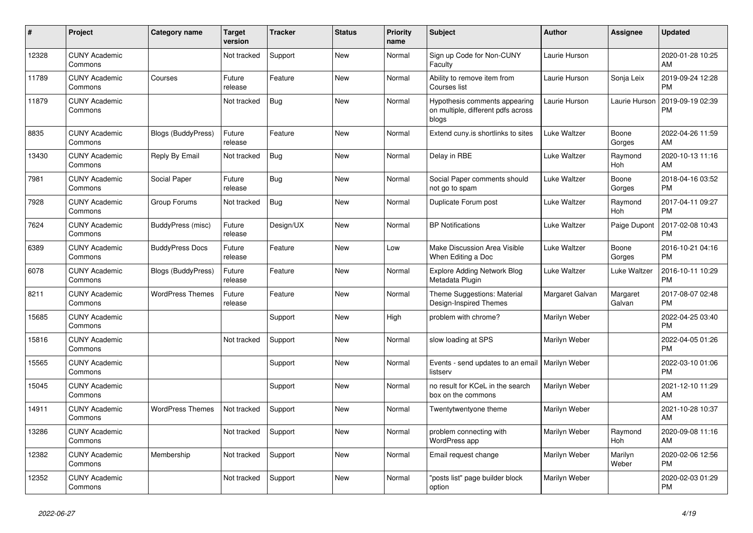| #     | <b>Project</b>                  | Category name             | <b>Target</b><br>version | Tracker    | <b>Status</b> | <b>Priority</b><br>name | <b>Subject</b>                                                               | <b>Author</b>       | Assignee           | <b>Updated</b>                |
|-------|---------------------------------|---------------------------|--------------------------|------------|---------------|-------------------------|------------------------------------------------------------------------------|---------------------|--------------------|-------------------------------|
| 12328 | <b>CUNY Academic</b><br>Commons |                           | Not tracked              | Support    | <b>New</b>    | Normal                  | Sign up Code for Non-CUNY<br>Faculty                                         | Laurie Hurson       |                    | 2020-01-28 10:25<br>AM        |
| 11789 | <b>CUNY Academic</b><br>Commons | Courses                   | Future<br>release        | Feature    | <b>New</b>    | Normal                  | Ability to remove item from<br>Courses list                                  | Laurie Hurson       | Sonja Leix         | 2019-09-24 12:28<br><b>PM</b> |
| 11879 | <b>CUNY Academic</b><br>Commons |                           | Not tracked              | Bug        | New           | Normal                  | Hypothesis comments appearing<br>on multiple, different pdfs across<br>blogs | Laurie Hurson       | Laurie Hurson      | 2019-09-19 02:39<br><b>PM</b> |
| 8835  | <b>CUNY Academic</b><br>Commons | <b>Blogs (BuddyPress)</b> | Future<br>release        | Feature    | <b>New</b>    | Normal                  | Extend cuny.is shortlinks to sites                                           | Luke Waltzer        | Boone<br>Gorges    | 2022-04-26 11:59<br>AM        |
| 13430 | <b>CUNY Academic</b><br>Commons | Reply By Email            | Not tracked              | Bug        | New           | Normal                  | Delay in RBE                                                                 | Luke Waltzer        | Raymond<br>Hoh     | 2020-10-13 11:16<br>AM        |
| 7981  | <b>CUNY Academic</b><br>Commons | Social Paper              | Future<br>release        | <b>Bug</b> | New           | Normal                  | Social Paper comments should<br>not go to spam                               | <b>Luke Waltzer</b> | Boone<br>Gorges    | 2018-04-16 03:52<br><b>PM</b> |
| 7928  | <b>CUNY Academic</b><br>Commons | Group Forums              | Not tracked              | <b>Bug</b> | <b>New</b>    | Normal                  | Duplicate Forum post                                                         | Luke Waltzer        | Raymond<br>Hoh     | 2017-04-11 09:27<br><b>PM</b> |
| 7624  | <b>CUNY Academic</b><br>Commons | BuddyPress (misc)         | Future<br>release        | Design/UX  | New           | Normal                  | <b>BP</b> Notifications                                                      | <b>Luke Waltzer</b> | Paige Dupont       | 2017-02-08 10:43<br><b>PM</b> |
| 6389  | <b>CUNY Academic</b><br>Commons | <b>BuddyPress Docs</b>    | Future<br>release        | Feature    | New           | Low                     | Make Discussion Area Visible<br>When Editing a Doc                           | Luke Waltzer        | Boone<br>Gorges    | 2016-10-21 04:16<br><b>PM</b> |
| 6078  | <b>CUNY Academic</b><br>Commons | <b>Blogs (BuddyPress)</b> | Future<br>release        | Feature    | <b>New</b>    | Normal                  | <b>Explore Adding Network Blog</b><br>Metadata Plugin                        | <b>Luke Waltzer</b> | Luke Waltzer       | 2016-10-11 10:29<br><b>PM</b> |
| 8211  | <b>CUNY Academic</b><br>Commons | <b>WordPress Themes</b>   | Future<br>release        | Feature    | New           | Normal                  | Theme Suggestions: Material<br>Design-Inspired Themes                        | Margaret Galvan     | Margaret<br>Galvan | 2017-08-07 02:48<br><b>PM</b> |
| 15685 | <b>CUNY Academic</b><br>Commons |                           |                          | Support    | New           | High                    | problem with chrome?                                                         | Marilyn Weber       |                    | 2022-04-25 03:40<br><b>PM</b> |
| 15816 | <b>CUNY Academic</b><br>Commons |                           | Not tracked              | Support    | <b>New</b>    | Normal                  | slow loading at SPS                                                          | Marilyn Weber       |                    | 2022-04-05 01:26<br><b>PM</b> |
| 15565 | <b>CUNY Academic</b><br>Commons |                           |                          | Support    | <b>New</b>    | Normal                  | Events - send updates to an email<br>listserv                                | Marilyn Weber       |                    | 2022-03-10 01:06<br><b>PM</b> |
| 15045 | <b>CUNY Academic</b><br>Commons |                           |                          | Support    | <b>New</b>    | Normal                  | no result for KCeL in the search<br>box on the commons                       | Marilyn Weber       |                    | 2021-12-10 11:29<br>AM        |
| 14911 | <b>CUNY Academic</b><br>Commons | <b>WordPress Themes</b>   | Not tracked              | Support    | <b>New</b>    | Normal                  | Twentytwentyone theme                                                        | Marilyn Weber       |                    | 2021-10-28 10:37<br>AM        |
| 13286 | <b>CUNY Academic</b><br>Commons |                           | Not tracked              | Support    | <b>New</b>    | Normal                  | problem connecting with<br>WordPress app                                     | Marilyn Weber       | Raymond<br>Hoh     | 2020-09-08 11:16<br>AM        |
| 12382 | <b>CUNY Academic</b><br>Commons | Membership                | Not tracked              | Support    | New           | Normal                  | Email request change                                                         | Marilyn Weber       | Marilyn<br>Weber   | 2020-02-06 12:56<br><b>PM</b> |
| 12352 | <b>CUNY Academic</b><br>Commons |                           | Not tracked              | Support    | <b>New</b>    | Normal                  | 'posts list" page builder block<br>option                                    | Marilyn Weber       |                    | 2020-02-03 01:29<br><b>PM</b> |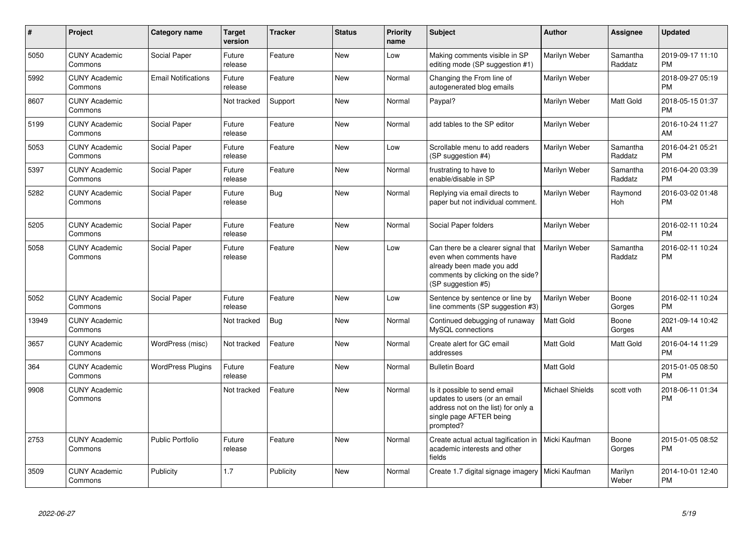| #     | Project                         | <b>Category name</b>       | Target<br>version | <b>Tracker</b> | <b>Status</b> | <b>Priority</b><br>name | <b>Subject</b>                                                                                                                                        | <b>Author</b>          | <b>Assignee</b>     | <b>Updated</b>                |
|-------|---------------------------------|----------------------------|-------------------|----------------|---------------|-------------------------|-------------------------------------------------------------------------------------------------------------------------------------------------------|------------------------|---------------------|-------------------------------|
| 5050  | <b>CUNY Academic</b><br>Commons | Social Paper               | Future<br>release | Feature        | <b>New</b>    | Low                     | Making comments visible in SP<br>editing mode (SP suggestion #1)                                                                                      | Marilyn Weber          | Samantha<br>Raddatz | 2019-09-17 11:10<br><b>PM</b> |
| 5992  | <b>CUNY Academic</b><br>Commons | <b>Email Notifications</b> | Future<br>release | Feature        | <b>New</b>    | Normal                  | Changing the From line of<br>autogenerated blog emails                                                                                                | Marilyn Weber          |                     | 2018-09-27 05:19<br><b>PM</b> |
| 8607  | <b>CUNY Academic</b><br>Commons |                            | Not tracked       | Support        | New           | Normal                  | Paypal?                                                                                                                                               | Marilyn Weber          | Matt Gold           | 2018-05-15 01:37<br><b>PM</b> |
| 5199  | <b>CUNY Academic</b><br>Commons | Social Paper               | Future<br>release | Feature        | New           | Normal                  | add tables to the SP editor                                                                                                                           | Marilyn Weber          |                     | 2016-10-24 11:27<br>AM        |
| 5053  | <b>CUNY Academic</b><br>Commons | Social Paper               | Future<br>release | Feature        | <b>New</b>    | Low                     | Scrollable menu to add readers<br>(SP suggestion #4)                                                                                                  | Marilyn Weber          | Samantha<br>Raddatz | 2016-04-21 05:21<br><b>PM</b> |
| 5397  | <b>CUNY Academic</b><br>Commons | Social Paper               | Future<br>release | Feature        | <b>New</b>    | Normal                  | frustrating to have to<br>enable/disable in SP                                                                                                        | Marilyn Weber          | Samantha<br>Raddatz | 2016-04-20 03:39<br><b>PM</b> |
| 5282  | <b>CUNY Academic</b><br>Commons | Social Paper               | Future<br>release | Bug            | <b>New</b>    | Normal                  | Replying via email directs to<br>paper but not individual comment.                                                                                    | Marilyn Weber          | Raymond<br>Hoh      | 2016-03-02 01:48<br><b>PM</b> |
| 5205  | <b>CUNY Academic</b><br>Commons | Social Paper               | Future<br>release | Feature        | <b>New</b>    | Normal                  | Social Paper folders                                                                                                                                  | Marilyn Weber          |                     | 2016-02-11 10:24<br><b>PM</b> |
| 5058  | <b>CUNY Academic</b><br>Commons | Social Paper               | Future<br>release | Feature        | <b>New</b>    | Low                     | Can there be a clearer signal that<br>even when comments have<br>already been made you add<br>comments by clicking on the side?<br>(SP suggestion #5) | Marilyn Weber          | Samantha<br>Raddatz | 2016-02-11 10:24<br><b>PM</b> |
| 5052  | <b>CUNY Academic</b><br>Commons | Social Paper               | Future<br>release | Feature        | <b>New</b>    | Low                     | Sentence by sentence or line by<br>line comments (SP suggestion #3)                                                                                   | Marilyn Weber          | Boone<br>Gorges     | 2016-02-11 10:24<br><b>PM</b> |
| 13949 | <b>CUNY Academic</b><br>Commons |                            | Not tracked       | <b>Bug</b>     | <b>New</b>    | Normal                  | Continued debugging of runaway<br>MySQL connections                                                                                                   | <b>Matt Gold</b>       | Boone<br>Gorges     | 2021-09-14 10:42<br>AM        |
| 3657  | <b>CUNY Academic</b><br>Commons | WordPress (misc)           | Not tracked       | Feature        | <b>New</b>    | Normal                  | Create alert for GC email<br>addresses                                                                                                                | Matt Gold              | Matt Gold           | 2016-04-14 11:29<br><b>PM</b> |
| 364   | <b>CUNY Academic</b><br>Commons | <b>WordPress Plugins</b>   | Future<br>release | Feature        | <b>New</b>    | Normal                  | <b>Bulletin Board</b>                                                                                                                                 | Matt Gold              |                     | 2015-01-05 08:50<br><b>PM</b> |
| 9908  | <b>CUNY Academic</b><br>Commons |                            | Not tracked       | Feature        | <b>New</b>    | Normal                  | Is it possible to send email<br>updates to users (or an email<br>address not on the list) for only a<br>single page AFTER being<br>prompted?          | <b>Michael Shields</b> | scott voth          | 2018-06-11 01:34<br><b>PM</b> |
| 2753  | <b>CUNY Academic</b><br>Commons | <b>Public Portfolio</b>    | Future<br>release | Feature        | <b>New</b>    | Normal                  | Create actual actual tagification in<br>academic interests and other<br>fields                                                                        | Micki Kaufman          | Boone<br>Gorges     | 2015-01-05 08:52<br><b>PM</b> |
| 3509  | <b>CUNY Academic</b><br>Commons | Publicity                  | 1.7               | Publicity      | <b>New</b>    | Normal                  | Create 1.7 digital signage imagery                                                                                                                    | Micki Kaufman          | Marilyn<br>Weber    | 2014-10-01 12:40<br><b>PM</b> |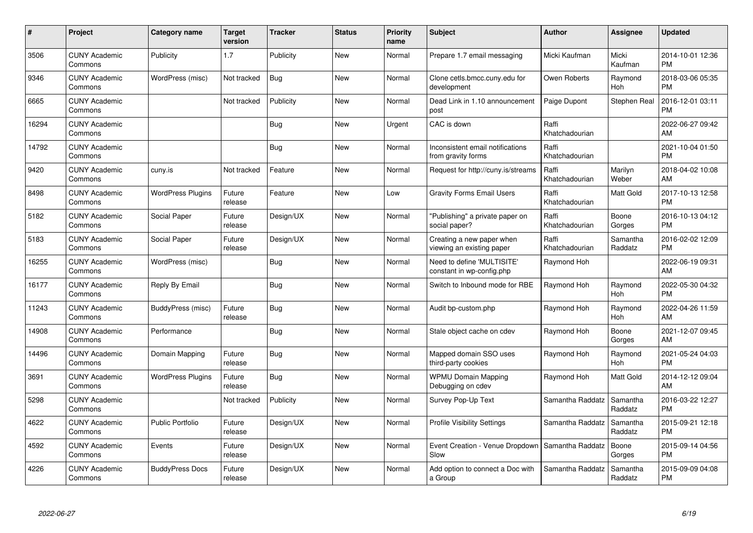| #     | Project                         | <b>Category name</b>     | Target<br>version | <b>Tracker</b> | <b>Status</b> | <b>Priority</b><br>name | <b>Subject</b>                                          | <b>Author</b>           | <b>Assignee</b>       | <b>Updated</b>                |
|-------|---------------------------------|--------------------------|-------------------|----------------|---------------|-------------------------|---------------------------------------------------------|-------------------------|-----------------------|-------------------------------|
| 3506  | <b>CUNY Academic</b><br>Commons | Publicity                | 1.7               | Publicity      | <b>New</b>    | Normal                  | Prepare 1.7 email messaging                             | Micki Kaufman           | Micki<br>Kaufman      | 2014-10-01 12:36<br><b>PM</b> |
| 9346  | <b>CUNY Academic</b><br>Commons | WordPress (misc)         | Not tracked       | Bug            | <b>New</b>    | Normal                  | Clone cetls.bmcc.cuny.edu for<br>development            | Owen Roberts            | Raymond<br>Hoh        | 2018-03-06 05:35<br><b>PM</b> |
| 6665  | <b>CUNY Academic</b><br>Commons |                          | Not tracked       | Publicity      | <b>New</b>    | Normal                  | Dead Link in 1.10 announcement<br>post                  | Paige Dupont            | <b>Stephen Real</b>   | 2016-12-01 03:11<br><b>PM</b> |
| 16294 | <b>CUNY Academic</b><br>Commons |                          |                   | <b>Bug</b>     | <b>New</b>    | Urgent                  | CAC is down                                             | Raffi<br>Khatchadourian |                       | 2022-06-27 09:42<br>AM        |
| 14792 | <b>CUNY Academic</b><br>Commons |                          |                   | <b>Bug</b>     | <b>New</b>    | Normal                  | Inconsistent email notifications<br>from gravity forms  | Raffi<br>Khatchadourian |                       | 2021-10-04 01:50<br><b>PM</b> |
| 9420  | <b>CUNY Academic</b><br>Commons | cuny.is                  | Not tracked       | Feature        | <b>New</b>    | Normal                  | Request for http://cuny.is/streams                      | Raffi<br>Khatchadourian | Marilyn<br>Weber      | 2018-04-02 10:08<br>AM        |
| 8498  | <b>CUNY Academic</b><br>Commons | <b>WordPress Plugins</b> | Future<br>release | Feature        | New           | Low                     | <b>Gravity Forms Email Users</b>                        | Raffi<br>Khatchadourian | Matt Gold             | 2017-10-13 12:58<br><b>PM</b> |
| 5182  | <b>CUNY Academic</b><br>Commons | Social Paper             | Future<br>release | Design/UX      | New           | Normal                  | 'Publishing" a private paper on<br>social paper?        | Raffi<br>Khatchadourian | Boone<br>Gorges       | 2016-10-13 04:12<br><b>PM</b> |
| 5183  | <b>CUNY Academic</b><br>Commons | Social Paper             | Future<br>release | Design/UX      | <b>New</b>    | Normal                  | Creating a new paper when<br>viewing an existing paper  | Raffi<br>Khatchadourian | Samantha<br>Raddatz   | 2016-02-02 12:09<br><b>PM</b> |
| 16255 | <b>CUNY Academic</b><br>Commons | WordPress (misc)         |                   | Bug            | <b>New</b>    | Normal                  | Need to define 'MULTISITE'<br>constant in wp-config.php | Raymond Hoh             |                       | 2022-06-19 09:31<br>AM        |
| 16177 | <b>CUNY Academic</b><br>Commons | Reply By Email           |                   | Bug            | New           | Normal                  | Switch to Inbound mode for RBE                          | Raymond Hoh             | Raymond<br><b>Hoh</b> | 2022-05-30 04:32<br><b>PM</b> |
| 11243 | <b>CUNY Academic</b><br>Commons | BuddyPress (misc)        | Future<br>release | <b>Bug</b>     | New           | Normal                  | Audit bp-custom.php                                     | Raymond Hoh             | Raymond<br>Hoh        | 2022-04-26 11:59<br>AM        |
| 14908 | <b>CUNY Academic</b><br>Commons | Performance              |                   | <b>Bug</b>     | <b>New</b>    | Normal                  | Stale object cache on cdev                              | Raymond Hoh             | Boone<br>Gorges       | 2021-12-07 09:45<br>AM        |
| 14496 | <b>CUNY Academic</b><br>Commons | Domain Mapping           | Future<br>release | <b>Bug</b>     | <b>New</b>    | Normal                  | Mapped domain SSO uses<br>third-party cookies           | Raymond Hoh             | Raymond<br>Hoh        | 2021-05-24 04:03<br><b>PM</b> |
| 3691  | <b>CUNY Academic</b><br>Commons | <b>WordPress Plugins</b> | Future<br>release | Bug            | New           | Normal                  | <b>WPMU Domain Mapping</b><br>Debugging on cdev         | Raymond Hoh             | Matt Gold             | 2014-12-12 09:04<br>AM        |
| 5298  | <b>CUNY Academic</b><br>Commons |                          | Not tracked       | Publicity      | <b>New</b>    | Normal                  | Survey Pop-Up Text                                      | Samantha Raddatz        | Samantha<br>Raddatz   | 2016-03-22 12:27<br><b>PM</b> |
| 4622  | <b>CUNY Academic</b><br>Commons | <b>Public Portfolio</b>  | Future<br>release | Design/UX      | <b>New</b>    | Normal                  | <b>Profile Visibility Settings</b>                      | Samantha Raddatz        | Samantha<br>Raddatz   | 2015-09-21 12:18<br><b>PM</b> |
| 4592  | <b>CUNY Academic</b><br>Commons | Events                   | Future<br>release | Design/UX      | <b>New</b>    | Normal                  | Event Creation - Venue Dropdown<br>Slow                 | Samantha Raddatz        | Boone<br>Gorges       | 2015-09-14 04:56<br><b>PM</b> |
| 4226  | <b>CUNY Academic</b><br>Commons | <b>BuddyPress Docs</b>   | Future<br>release | Design/UX      | <b>New</b>    | Normal                  | Add option to connect a Doc with<br>a Group             | Samantha Raddatz        | Samantha<br>Raddatz   | 2015-09-09 04:08<br><b>PM</b> |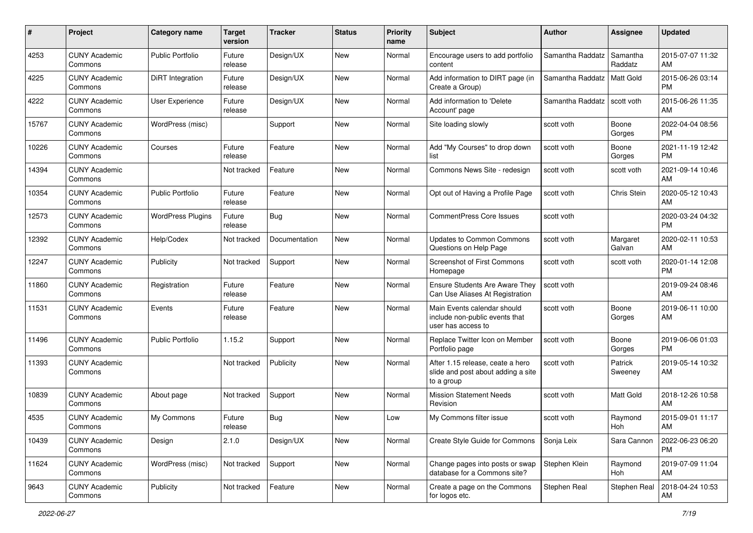| #     | Project                         | <b>Category name</b>     | <b>Target</b><br>version | <b>Tracker</b> | <b>Status</b> | <b>Priority</b><br>name | Subject                                                                              | Author           | <b>Assignee</b>     | <b>Updated</b>                |
|-------|---------------------------------|--------------------------|--------------------------|----------------|---------------|-------------------------|--------------------------------------------------------------------------------------|------------------|---------------------|-------------------------------|
| 4253  | <b>CUNY Academic</b><br>Commons | <b>Public Portfolio</b>  | Future<br>release        | Design/UX      | New           | Normal                  | Encourage users to add portfolio<br>content                                          | Samantha Raddatz | Samantha<br>Raddatz | 2015-07-07 11:32<br>AM        |
| 4225  | <b>CUNY Academic</b><br>Commons | <b>DiRT</b> Integration  | Future<br>release        | Design/UX      | New           | Normal                  | Add information to DIRT page (in<br>Create a Group)                                  | Samantha Raddatz | Matt Gold           | 2015-06-26 03:14<br><b>PM</b> |
| 4222  | <b>CUNY Academic</b><br>Commons | <b>User Experience</b>   | Future<br>release        | Design/UX      | New           | Normal                  | Add information to 'Delete<br>Account' page                                          | Samantha Raddatz | scott voth          | 2015-06-26 11:35<br>AM        |
| 15767 | <b>CUNY Academic</b><br>Commons | WordPress (misc)         |                          | Support        | <b>New</b>    | Normal                  | Site loading slowly                                                                  | scott voth       | Boone<br>Gorges     | 2022-04-04 08:56<br><b>PM</b> |
| 10226 | <b>CUNY Academic</b><br>Commons | Courses                  | Future<br>release        | Feature        | New           | Normal                  | Add "My Courses" to drop down<br>list                                                | scott voth       | Boone<br>Gorges     | 2021-11-19 12:42<br><b>PM</b> |
| 14394 | <b>CUNY Academic</b><br>Commons |                          | Not tracked              | Feature        | New           | Normal                  | Commons News Site - redesign                                                         | scott voth       | scott voth          | 2021-09-14 10:46<br>AM        |
| 10354 | <b>CUNY Academic</b><br>Commons | <b>Public Portfolio</b>  | Future<br>release        | Feature        | New           | Normal                  | Opt out of Having a Profile Page                                                     | scott voth       | Chris Stein         | 2020-05-12 10:43<br>AM        |
| 12573 | <b>CUNY Academic</b><br>Commons | <b>WordPress Plugins</b> | Future<br>release        | Bug            | New           | Normal                  | <b>CommentPress Core Issues</b>                                                      | scott voth       |                     | 2020-03-24 04:32<br><b>PM</b> |
| 12392 | <b>CUNY Academic</b><br>Commons | Help/Codex               | Not tracked              | Documentation  | New           | Normal                  | Updates to Common Commons<br>Questions on Help Page                                  | scott voth       | Margaret<br>Galvan  | 2020-02-11 10:53<br>AM        |
| 12247 | <b>CUNY Academic</b><br>Commons | Publicity                | Not tracked              | Support        | New           | Normal                  | Screenshot of First Commons<br>Homepage                                              | scott voth       | scott voth          | 2020-01-14 12:08<br><b>PM</b> |
| 11860 | <b>CUNY Academic</b><br>Commons | Registration             | Future<br>release        | Feature        | <b>New</b>    | Normal                  | Ensure Students Are Aware They<br>Can Use Aliases At Registration                    | scott voth       |                     | 2019-09-24 08:46<br>AM        |
| 11531 | <b>CUNY Academic</b><br>Commons | Events                   | Future<br>release        | Feature        | New           | Normal                  | Main Events calendar should<br>include non-public events that<br>user has access to  | scott voth       | Boone<br>Gorges     | 2019-06-11 10:00<br>AM        |
| 11496 | <b>CUNY Academic</b><br>Commons | <b>Public Portfolio</b>  | 1.15.2                   | Support        | New           | Normal                  | Replace Twitter Icon on Member<br>Portfolio page                                     | scott voth       | Boone<br>Gorges     | 2019-06-06 01:03<br><b>PM</b> |
| 11393 | <b>CUNY Academic</b><br>Commons |                          | Not tracked              | Publicity      | New           | Normal                  | After 1.15 release, ceate a hero<br>slide and post about adding a site<br>to a group | scott voth       | Patrick<br>Sweeney  | 2019-05-14 10:32<br>AM        |
| 10839 | <b>CUNY Academic</b><br>Commons | About page               | Not tracked              | Support        | New           | Normal                  | <b>Mission Statement Needs</b><br>Revision                                           | scott voth       | Matt Gold           | 2018-12-26 10:58<br>AM        |
| 4535  | <b>CUNY Academic</b><br>Commons | My Commons               | Future<br>release        | Bug            | New           | Low                     | My Commons filter issue                                                              | scott voth       | Raymond<br>Hoh      | 2015-09-01 11:17<br>AM        |
| 10439 | <b>CUNY Academic</b><br>Commons | Design                   | 2.1.0                    | Design/UX      | New           | Normal                  | Create Style Guide for Commons                                                       | Sonja Leix       | Sara Cannon         | 2022-06-23 06:20<br><b>PM</b> |
| 11624 | <b>CUNY Academic</b><br>Commons | WordPress (misc)         | Not tracked              | Support        | New           | Normal                  | Change pages into posts or swap<br>database for a Commons site?                      | Stephen Klein    | Raymond<br>Hoh      | 2019-07-09 11:04<br>AM        |
| 9643  | <b>CUNY Academic</b><br>Commons | Publicity                | Not tracked              | Feature        | New           | Normal                  | Create a page on the Commons<br>for logos etc.                                       | Stephen Real     | Stephen Real        | 2018-04-24 10:53<br>AM        |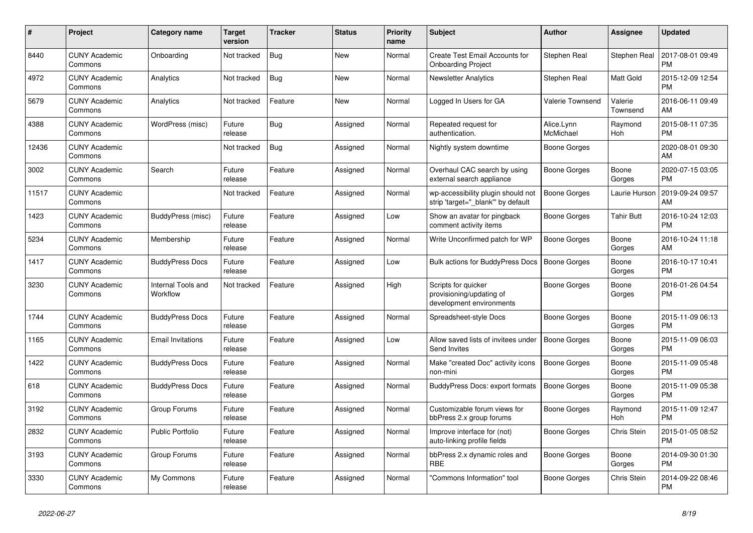| #     | <b>Project</b>                  | <b>Category name</b>           | <b>Target</b><br>version | Tracker    | <b>Status</b> | <b>Priority</b><br>name | <b>Subject</b>                                                              | <b>Author</b>           | Assignee              | Updated                       |
|-------|---------------------------------|--------------------------------|--------------------------|------------|---------------|-------------------------|-----------------------------------------------------------------------------|-------------------------|-----------------------|-------------------------------|
| 8440  | <b>CUNY Academic</b><br>Commons | Onboarding                     | Not tracked              | Bug        | <b>New</b>    | Normal                  | <b>Create Test Email Accounts for</b><br><b>Onboarding Project</b>          | Stephen Real            | Stephen Real          | 2017-08-01 09:49<br><b>PM</b> |
| 4972  | <b>CUNY Academic</b><br>Commons | Analytics                      | Not tracked              | <b>Bug</b> | <b>New</b>    | Normal                  | <b>Newsletter Analytics</b>                                                 | Stephen Real            | Matt Gold             | 2015-12-09 12:54<br>PM        |
| 5679  | <b>CUNY Academic</b><br>Commons | Analytics                      | Not tracked              | Feature    | New           | Normal                  | Logged In Users for GA                                                      | Valerie Townsend        | Valerie<br>Townsend   | 2016-06-11 09:49<br>AM        |
| 4388  | <b>CUNY Academic</b><br>Commons | WordPress (misc)               | Future<br>release        | <b>Bug</b> | Assigned      | Normal                  | Repeated request for<br>authentication.                                     | Alice.Lynn<br>McMichael | Raymond<br><b>Hoh</b> | 2015-08-11 07:35<br><b>PM</b> |
| 12436 | <b>CUNY Academic</b><br>Commons |                                | Not tracked              | Bug        | Assigned      | Normal                  | Nightly system downtime                                                     | Boone Gorges            |                       | 2020-08-01 09:30<br>AM        |
| 3002  | <b>CUNY Academic</b><br>Commons | Search                         | Future<br>release        | Feature    | Assigned      | Normal                  | Overhaul CAC search by using<br>external search appliance                   | <b>Boone Gorges</b>     | Boone<br>Gorges       | 2020-07-15 03:05<br><b>PM</b> |
| 11517 | <b>CUNY Academic</b><br>Commons |                                | Not tracked              | Feature    | Assigned      | Normal                  | wp-accessibility plugin should not<br>strip 'target=" blank" by default     | <b>Boone Gorges</b>     | Laurie Hurson         | 2019-09-24 09:57<br>AM        |
| 1423  | <b>CUNY Academic</b><br>Commons | BuddyPress (misc)              | Future<br>release        | Feature    | Assigned      | Low                     | Show an avatar for pingback<br>comment activity items                       | Boone Gorges            | <b>Tahir Butt</b>     | 2016-10-24 12:03<br><b>PM</b> |
| 5234  | <b>CUNY Academic</b><br>Commons | Membership                     | Future<br>release        | Feature    | Assigned      | Normal                  | Write Unconfirmed patch for WP                                              | Boone Gorges            | Boone<br>Gorges       | 2016-10-24 11:18<br>AM        |
| 1417  | <b>CUNY Academic</b><br>Commons | <b>BuddyPress Docs</b>         | Future<br>release        | Feature    | Assigned      | Low                     | <b>Bulk actions for BuddyPress Docs</b>                                     | <b>Boone Gorges</b>     | Boone<br>Gorges       | 2016-10-17 10:41<br><b>PM</b> |
| 3230  | <b>CUNY Academic</b><br>Commons | Internal Tools and<br>Workflow | Not tracked              | Feature    | Assigned      | High                    | Scripts for quicker<br>provisioning/updating of<br>development environments | Boone Gorges            | Boone<br>Gorges       | 2016-01-26 04:54<br>PM        |
| 1744  | <b>CUNY Academic</b><br>Commons | <b>BuddyPress Docs</b>         | Future<br>release        | Feature    | Assigned      | Normal                  | Spreadsheet-style Docs                                                      | Boone Gorges            | Boone<br>Gorges       | 2015-11-09 06:13<br><b>PM</b> |
| 1165  | <b>CUNY Academic</b><br>Commons | <b>Email Invitations</b>       | Future<br>release        | Feature    | Assigned      | Low                     | Allow saved lists of invitees under<br>Send Invites                         | Boone Gorges            | Boone<br>Gorges       | 2015-11-09 06:03<br><b>PM</b> |
| 1422  | <b>CUNY Academic</b><br>Commons | <b>BuddyPress Docs</b>         | Future<br>release        | Feature    | Assigned      | Normal                  | Make "created Doc" activity icons<br>non-mini                               | Boone Gorges            | Boone<br>Gorges       | 2015-11-09 05:48<br><b>PM</b> |
| 618   | <b>CUNY Academic</b><br>Commons | <b>BuddyPress Docs</b>         | Future<br>release        | Feature    | Assigned      | Normal                  | <b>BuddyPress Docs: export formats</b>                                      | Boone Gorges            | Boone<br>Gorges       | 2015-11-09 05:38<br><b>PM</b> |
| 3192  | <b>CUNY Academic</b><br>Commons | Group Forums                   | Future<br>release        | Feature    | Assigned      | Normal                  | Customizable forum views for<br>bbPress 2.x group forums                    | Boone Gorges            | Raymond<br><b>Hoh</b> | 2015-11-09 12:47<br>PM        |
| 2832  | <b>CUNY Academic</b><br>Commons | <b>Public Portfolio</b>        | Future<br>release        | Feature    | Assigned      | Normal                  | Improve interface for (not)<br>auto-linking profile fields                  | Boone Gorges            | Chris Stein           | 2015-01-05 08:52<br><b>PM</b> |
| 3193  | <b>CUNY Academic</b><br>Commons | Group Forums                   | Future<br>release        | Feature    | Assigned      | Normal                  | bbPress 2.x dynamic roles and<br><b>RBE</b>                                 | Boone Gorges            | Boone<br>Gorges       | 2014-09-30 01:30<br>PM        |
| 3330  | <b>CUNY Academic</b><br>Commons | My Commons                     | Future<br>release        | Feature    | Assigned      | Normal                  | 'Commons Information" tool                                                  | Boone Gorges            | Chris Stein           | 2014-09-22 08:46<br><b>PM</b> |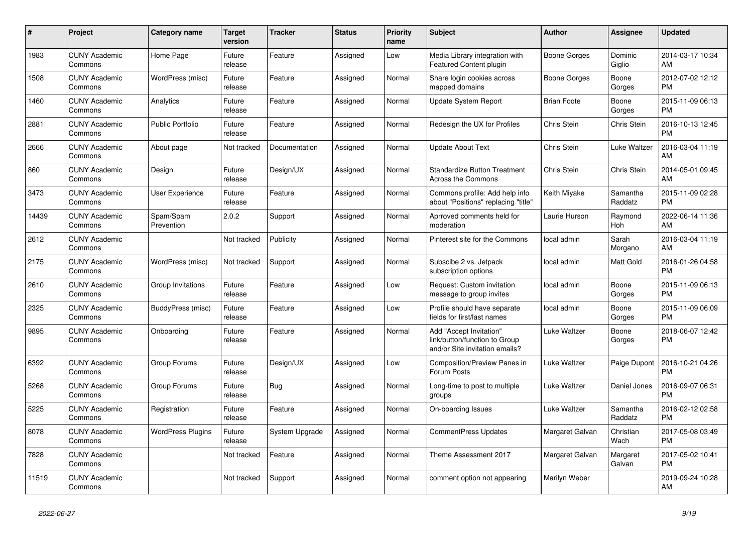| #     | <b>Project</b>                  | Category name            | <b>Target</b><br>version | <b>Tracker</b> | <b>Status</b> | <b>Priority</b><br>name | <b>Subject</b>                                                                             | <b>Author</b>      | <b>Assignee</b>     | <b>Updated</b>                |
|-------|---------------------------------|--------------------------|--------------------------|----------------|---------------|-------------------------|--------------------------------------------------------------------------------------------|--------------------|---------------------|-------------------------------|
| 1983  | <b>CUNY Academic</b><br>Commons | Home Page                | Future<br>release        | Feature        | Assigned      | Low                     | Media Library integration with<br>Featured Content plugin                                  | Boone Gorges       | Dominic<br>Giglio   | 2014-03-17 10:34<br>AM        |
| 1508  | <b>CUNY Academic</b><br>Commons | WordPress (misc)         | Future<br>release        | Feature        | Assigned      | Normal                  | Share login cookies across<br>mapped domains                                               | Boone Gorges       | Boone<br>Gorges     | 2012-07-02 12:12<br><b>PM</b> |
| 1460  | <b>CUNY Academic</b><br>Commons | Analytics                | Future<br>release        | Feature        | Assigned      | Normal                  | Update System Report                                                                       | <b>Brian Foote</b> | Boone<br>Gorges     | 2015-11-09 06:13<br><b>PM</b> |
| 2881  | <b>CUNY Academic</b><br>Commons | <b>Public Portfolio</b>  | Future<br>release        | Feature        | Assigned      | Normal                  | Redesign the UX for Profiles                                                               | Chris Stein        | Chris Stein         | 2016-10-13 12:45<br><b>PM</b> |
| 2666  | <b>CUNY Academic</b><br>Commons | About page               | Not tracked              | Documentation  | Assigned      | Normal                  | <b>Update About Text</b>                                                                   | <b>Chris Stein</b> | Luke Waltzer        | 2016-03-04 11:19<br>AM        |
| 860   | <b>CUNY Academic</b><br>Commons | Design                   | Future<br>release        | Design/UX      | Assigned      | Normal                  | <b>Standardize Button Treatment</b><br><b>Across the Commons</b>                           | Chris Stein        | Chris Stein         | 2014-05-01 09:45<br>AM        |
| 3473  | <b>CUNY Academic</b><br>Commons | <b>User Experience</b>   | Future<br>release        | Feature        | Assigned      | Normal                  | Commons profile: Add help info<br>about "Positions" replacing "title"                      | Keith Miyake       | Samantha<br>Raddatz | 2015-11-09 02:28<br><b>PM</b> |
| 14439 | <b>CUNY Academic</b><br>Commons | Spam/Spam<br>Prevention  | 2.0.2                    | Support        | Assigned      | Normal                  | Aprroved comments held for<br>moderation                                                   | Laurie Hurson      | Raymond<br>Hoh      | 2022-06-14 11:36<br>AM        |
| 2612  | <b>CUNY Academic</b><br>Commons |                          | Not tracked              | Publicity      | Assigned      | Normal                  | Pinterest site for the Commons                                                             | local admin        | Sarah<br>Morgano    | 2016-03-04 11:19<br>AM        |
| 2175  | <b>CUNY Academic</b><br>Commons | WordPress (misc)         | Not tracked              | Support        | Assigned      | Normal                  | Subscibe 2 vs. Jetpack<br>subscription options                                             | local admin        | <b>Matt Gold</b>    | 2016-01-26 04:58<br><b>PM</b> |
| 2610  | <b>CUNY Academic</b><br>Commons | Group Invitations        | Future<br>release        | Feature        | Assigned      | Low                     | Request: Custom invitation<br>message to group invites                                     | local admin        | Boone<br>Gorges     | 2015-11-09 06:13<br><b>PM</b> |
| 2325  | <b>CUNY Academic</b><br>Commons | BuddyPress (misc)        | Future<br>release        | Feature        | Assigned      | Low                     | Profile should have separate<br>fields for first/last names                                | local admin        | Boone<br>Gorges     | 2015-11-09 06:09<br><b>PM</b> |
| 9895  | <b>CUNY Academic</b><br>Commons | Onboarding               | Future<br>release        | Feature        | Assigned      | Normal                  | Add "Accept Invitation"<br>link/button/function to Group<br>and/or Site invitation emails? | Luke Waltzer       | Boone<br>Gorges     | 2018-06-07 12:42<br><b>PM</b> |
| 6392  | <b>CUNY Academic</b><br>Commons | Group Forums             | Future<br>release        | Design/UX      | Assigned      | Low                     | Composition/Preview Panes in<br>Forum Posts                                                | Luke Waltzer       | Paige Dupont        | 2016-10-21 04:26<br><b>PM</b> |
| 5268  | <b>CUNY Academic</b><br>Commons | Group Forums             | Future<br>release        | <b>Bug</b>     | Assigned      | Normal                  | Long-time to post to multiple<br>groups                                                    | Luke Waltzer       | Daniel Jones        | 2016-09-07 06:31<br><b>PM</b> |
| 5225  | <b>CUNY Academic</b><br>Commons | Registration             | Future<br>release        | Feature        | Assigned      | Normal                  | On-boarding Issues                                                                         | Luke Waltzer       | Samantha<br>Raddatz | 2016-02-12 02:58<br><b>PM</b> |
| 8078  | <b>CUNY Academic</b><br>Commons | <b>WordPress Plugins</b> | Future<br>release        | System Upgrade | Assigned      | Normal                  | <b>CommentPress Updates</b>                                                                | Margaret Galvan    | Christian<br>Wach   | 2017-05-08 03:49<br><b>PM</b> |
| 7828  | <b>CUNY Academic</b><br>Commons |                          | Not tracked              | Feature        | Assigned      | Normal                  | Theme Assessment 2017                                                                      | Margaret Galvan    | Margaret<br>Galvan  | 2017-05-02 10:41<br><b>PM</b> |
| 11519 | <b>CUNY Academic</b><br>Commons |                          | Not tracked              | Support        | Assigned      | Normal                  | comment option not appearing                                                               | Marilyn Weber      |                     | 2019-09-24 10:28<br>AM        |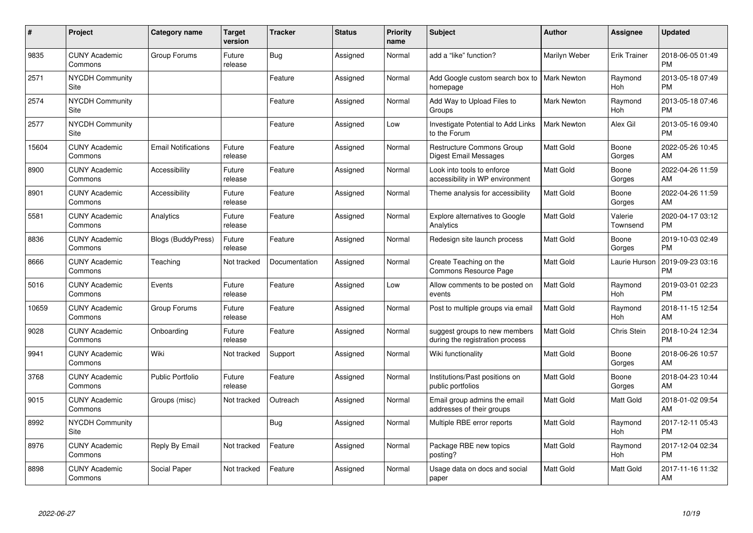| #     | Project                         | <b>Category name</b>       | Target<br>version | <b>Tracker</b> | <b>Status</b> | <b>Priority</b><br>name | <b>Subject</b>                                                   | <b>Author</b>      | <b>Assignee</b>       | <b>Updated</b>                |
|-------|---------------------------------|----------------------------|-------------------|----------------|---------------|-------------------------|------------------------------------------------------------------|--------------------|-----------------------|-------------------------------|
| 9835  | <b>CUNY Academic</b><br>Commons | Group Forums               | Future<br>release | Bug            | Assigned      | Normal                  | add a "like" function?                                           | Marilyn Weber      | <b>Erik Trainer</b>   | 2018-06-05 01:49<br><b>PM</b> |
| 2571  | <b>NYCDH Community</b><br>Site  |                            |                   | Feature        | Assigned      | Normal                  | Add Google custom search box to   Mark Newton<br>homepage        |                    | Raymond<br><b>Hoh</b> | 2013-05-18 07:49<br><b>PM</b> |
| 2574  | NYCDH Community<br>Site         |                            |                   | Feature        | Assigned      | Normal                  | Add Way to Upload Files to<br>Groups                             | <b>Mark Newton</b> | Raymond<br>Hoh        | 2013-05-18 07:46<br><b>PM</b> |
| 2577  | <b>NYCDH Community</b><br>Site  |                            |                   | Feature        | Assigned      | Low                     | Investigate Potential to Add Links<br>to the Forum               | Mark Newton        | Alex Gil              | 2013-05-16 09:40<br><b>PM</b> |
| 15604 | <b>CUNY Academic</b><br>Commons | <b>Email Notifications</b> | Future<br>release | Feature        | Assigned      | Normal                  | <b>Restructure Commons Group</b><br>Digest Email Messages        | Matt Gold          | Boone<br>Gorges       | 2022-05-26 10:45<br>AM        |
| 8900  | <b>CUNY Academic</b><br>Commons | Accessibility              | Future<br>release | Feature        | Assigned      | Normal                  | Look into tools to enforce<br>accessibility in WP environment    | Matt Gold          | Boone<br>Gorges       | 2022-04-26 11:59<br>AM        |
| 8901  | <b>CUNY Academic</b><br>Commons | Accessibility              | Future<br>release | Feature        | Assigned      | Normal                  | Theme analysis for accessibility                                 | Matt Gold          | Boone<br>Gorges       | 2022-04-26 11:59<br>AM        |
| 5581  | <b>CUNY Academic</b><br>Commons | Analytics                  | Future<br>release | Feature        | Assigned      | Normal                  | Explore alternatives to Google<br>Analytics                      | Matt Gold          | Valerie<br>Townsend   | 2020-04-17 03:12<br><b>PM</b> |
| 8836  | <b>CUNY Academic</b><br>Commons | <b>Blogs (BuddyPress)</b>  | Future<br>release | Feature        | Assigned      | Normal                  | Redesign site launch process                                     | <b>Matt Gold</b>   | Boone<br>Gorges       | 2019-10-03 02:49<br><b>PM</b> |
| 8666  | <b>CUNY Academic</b><br>Commons | Teaching                   | Not tracked       | Documentation  | Assigned      | Normal                  | Create Teaching on the<br>Commons Resource Page                  | Matt Gold          | Laurie Hurson         | 2019-09-23 03:16<br><b>PM</b> |
| 5016  | <b>CUNY Academic</b><br>Commons | Events                     | Future<br>release | Feature        | Assigned      | Low                     | Allow comments to be posted on<br>events                         | Matt Gold          | Raymond<br>Hoh        | 2019-03-01 02:23<br><b>PM</b> |
| 10659 | <b>CUNY Academic</b><br>Commons | Group Forums               | Future<br>release | Feature        | Assigned      | Normal                  | Post to multiple groups via email                                | <b>Matt Gold</b>   | Raymond<br>Hoh        | 2018-11-15 12:54<br>AM        |
| 9028  | <b>CUNY Academic</b><br>Commons | Onboarding                 | Future<br>release | Feature        | Assigned      | Normal                  | suggest groups to new members<br>during the registration process | Matt Gold          | Chris Stein           | 2018-10-24 12:34<br><b>PM</b> |
| 9941  | <b>CUNY Academic</b><br>Commons | Wiki                       | Not tracked       | Support        | Assigned      | Normal                  | Wiki functionality                                               | Matt Gold          | Boone<br>Gorges       | 2018-06-26 10:57<br>AM        |
| 3768  | <b>CUNY Academic</b><br>Commons | <b>Public Portfolio</b>    | Future<br>release | Feature        | Assigned      | Normal                  | Institutions/Past positions on<br>public portfolios              | <b>Matt Gold</b>   | Boone<br>Gorges       | 2018-04-23 10:44<br>AM        |
| 9015  | <b>CUNY Academic</b><br>Commons | Groups (misc)              | Not tracked       | Outreach       | Assigned      | Normal                  | Email group admins the email<br>addresses of their groups        | Matt Gold          | Matt Gold             | 2018-01-02 09:54<br>AM        |
| 8992  | <b>NYCDH Community</b><br>Site  |                            |                   | <b>Bug</b>     | Assigned      | Normal                  | Multiple RBE error reports                                       | Matt Gold          | Raymond<br><b>Hoh</b> | 2017-12-11 05:43<br><b>PM</b> |
| 8976  | <b>CUNY Academic</b><br>Commons | Reply By Email             | Not tracked       | Feature        | Assigned      | Normal                  | Package RBE new topics<br>posting?                               | Matt Gold          | Raymond<br>Hoh        | 2017-12-04 02:34<br><b>PM</b> |
| 8898  | <b>CUNY Academic</b><br>Commons | Social Paper               | Not tracked       | Feature        | Assigned      | Normal                  | Usage data on docs and social<br>paper                           | Matt Gold          | Matt Gold             | 2017-11-16 11:32<br>AM        |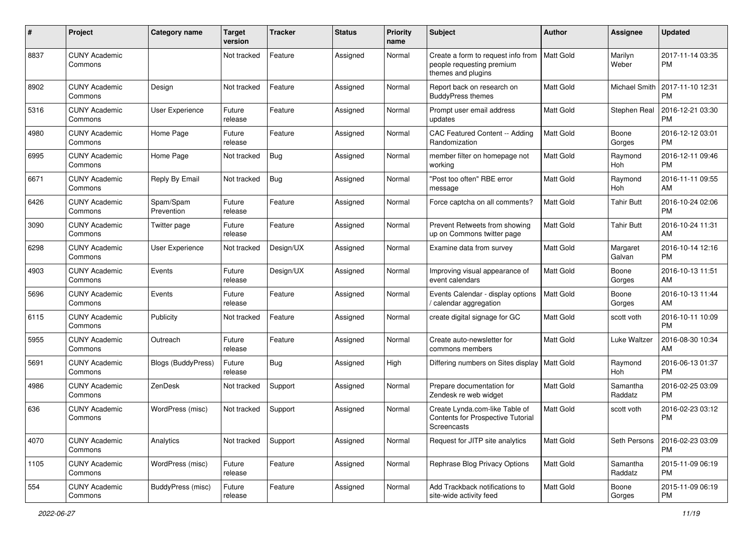| #    | Project                         | <b>Category name</b>      | <b>Target</b><br>version | <b>Tracker</b> | <b>Status</b> | <b>Priority</b><br>name | <b>Subject</b>                                                                            | Author           | <b>Assignee</b>     | <b>Updated</b>                |
|------|---------------------------------|---------------------------|--------------------------|----------------|---------------|-------------------------|-------------------------------------------------------------------------------------------|------------------|---------------------|-------------------------------|
| 8837 | <b>CUNY Academic</b><br>Commons |                           | Not tracked              | Feature        | Assigned      | Normal                  | Create a form to request info from<br>people requesting premium<br>themes and plugins     | <b>Matt Gold</b> | Marilyn<br>Weber    | 2017-11-14 03:35<br><b>PM</b> |
| 8902 | <b>CUNY Academic</b><br>Commons | Design                    | Not tracked              | Feature        | Assigned      | Normal                  | Report back on research on<br><b>BuddyPress themes</b>                                    | <b>Matt Gold</b> | Michael Smith       | 2017-11-10 12:31<br>PM        |
| 5316 | <b>CUNY Academic</b><br>Commons | User Experience           | Future<br>release        | Feature        | Assigned      | Normal                  | Prompt user email address<br>updates                                                      | Matt Gold        | Stephen Real        | 2016-12-21 03:30<br><b>PM</b> |
| 4980 | <b>CUNY Academic</b><br>Commons | Home Page                 | Future<br>release        | Feature        | Assigned      | Normal                  | CAC Featured Content -- Adding<br>Randomization                                           | Matt Gold        | Boone<br>Gorges     | 2016-12-12 03:01<br><b>PM</b> |
| 6995 | <b>CUNY Academic</b><br>Commons | Home Page                 | Not tracked              | Bug            | Assigned      | Normal                  | member filter on homepage not<br>working                                                  | <b>Matt Gold</b> | Raymond<br>Hoh      | 2016-12-11 09:46<br><b>PM</b> |
| 6671 | <b>CUNY Academic</b><br>Commons | Reply By Email            | Not tracked              | <b>Bug</b>     | Assigned      | Normal                  | "Post too often" RBE error<br>message                                                     | <b>Matt Gold</b> | Raymond<br>Hoh      | 2016-11-11 09:55<br>AM        |
| 6426 | <b>CUNY Academic</b><br>Commons | Spam/Spam<br>Prevention   | Future<br>release        | Feature        | Assigned      | Normal                  | Force captcha on all comments?                                                            | <b>Matt Gold</b> | <b>Tahir Butt</b>   | 2016-10-24 02:06<br><b>PM</b> |
| 3090 | <b>CUNY Academic</b><br>Commons | Twitter page              | Future<br>release        | Feature        | Assigned      | Normal                  | Prevent Retweets from showing<br>up on Commons twitter page                               | <b>Matt Gold</b> | <b>Tahir Butt</b>   | 2016-10-24 11:31<br>AM        |
| 6298 | <b>CUNY Academic</b><br>Commons | User Experience           | Not tracked              | Design/UX      | Assigned      | Normal                  | Examine data from survey                                                                  | <b>Matt Gold</b> | Margaret<br>Galvan  | 2016-10-14 12:16<br><b>PM</b> |
| 4903 | <b>CUNY Academic</b><br>Commons | Events                    | Future<br>release        | Design/UX      | Assigned      | Normal                  | Improving visual appearance of<br>event calendars                                         | <b>Matt Gold</b> | Boone<br>Gorges     | 2016-10-13 11:51<br>AM        |
| 5696 | <b>CUNY Academic</b><br>Commons | Events                    | Future<br>release        | Feature        | Assigned      | Normal                  | Events Calendar - display options<br>/ calendar aggregation                               | <b>Matt Gold</b> | Boone<br>Gorges     | 2016-10-13 11:44<br>AM        |
| 6115 | <b>CUNY Academic</b><br>Commons | Publicity                 | Not tracked              | Feature        | Assigned      | Normal                  | create digital signage for GC                                                             | Matt Gold        | scott voth          | 2016-10-11 10:09<br><b>PM</b> |
| 5955 | <b>CUNY Academic</b><br>Commons | Outreach                  | Future<br>release        | Feature        | Assigned      | Normal                  | Create auto-newsletter for<br>commons members                                             | <b>Matt Gold</b> | Luke Waltzer        | 2016-08-30 10:34<br>AM        |
| 5691 | <b>CUNY Academic</b><br>Commons | <b>Blogs (BuddyPress)</b> | Future<br>release        | Bug            | Assigned      | High                    | Differing numbers on Sites display   Matt Gold                                            |                  | Raymond<br>Hoh      | 2016-06-13 01:37<br><b>PM</b> |
| 4986 | <b>CUNY Academic</b><br>Commons | ZenDesk                   | Not tracked              | Support        | Assigned      | Normal                  | Prepare documentation for<br>Zendesk re web widget                                        | <b>Matt Gold</b> | Samantha<br>Raddatz | 2016-02-25 03:09<br><b>PM</b> |
| 636  | <b>CUNY Academic</b><br>Commons | WordPress (misc)          | Not tracked              | Support        | Assigned      | Normal                  | Create Lynda.com-like Table of<br><b>Contents for Prospective Tutorial</b><br>Screencasts | Matt Gold        | scott voth          | 2016-02-23 03:12<br><b>PM</b> |
| 4070 | <b>CUNY Academic</b><br>Commons | Analytics                 | Not tracked              | Support        | Assigned      | Normal                  | Request for JITP site analytics                                                           | Matt Gold        | Seth Persons        | 2016-02-23 03:09<br>PM        |
| 1105 | <b>CUNY Academic</b><br>Commons | WordPress (misc)          | Future<br>release        | Feature        | Assigned      | Normal                  | Rephrase Blog Privacy Options                                                             | Matt Gold        | Samantha<br>Raddatz | 2015-11-09 06:19<br><b>PM</b> |
| 554  | <b>CUNY Academic</b><br>Commons | BuddyPress (misc)         | Future<br>release        | Feature        | Assigned      | Normal                  | Add Trackback notifications to<br>site-wide activity feed                                 | Matt Gold        | Boone<br>Gorges     | 2015-11-09 06:19<br><b>PM</b> |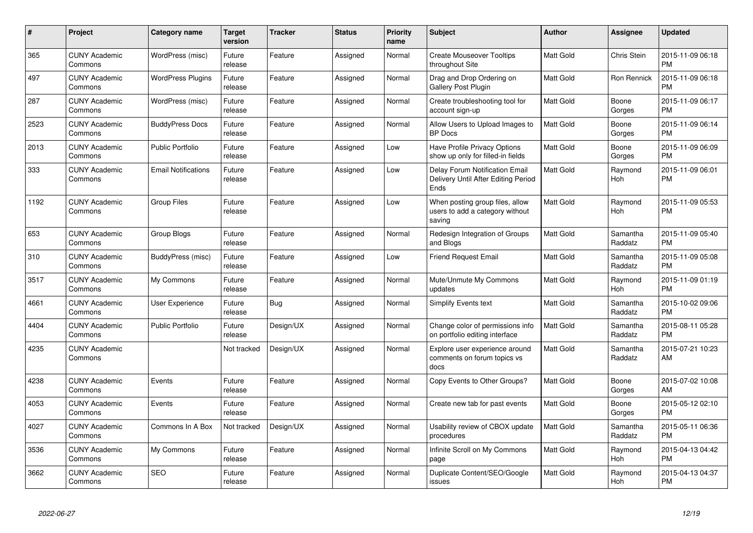| #    | <b>Project</b>                  | Category name              | <b>Target</b><br>version | <b>Tracker</b> | <b>Status</b> | <b>Priority</b><br>name | <b>Subject</b>                                                                | <b>Author</b>    | Assignee              | Updated                       |
|------|---------------------------------|----------------------------|--------------------------|----------------|---------------|-------------------------|-------------------------------------------------------------------------------|------------------|-----------------------|-------------------------------|
| 365  | <b>CUNY Academic</b><br>Commons | WordPress (misc)           | Future<br>release        | Feature        | Assigned      | Normal                  | <b>Create Mouseover Tooltips</b><br>throughout Site                           | Matt Gold        | Chris Stein           | 2015-11-09 06:18<br><b>PM</b> |
| 497  | <b>CUNY Academic</b><br>Commons | <b>WordPress Plugins</b>   | Future<br>release        | Feature        | Assigned      | Normal                  | Drag and Drop Ordering on<br>Gallery Post Plugin                              | Matt Gold        | Ron Rennick           | 2015-11-09 06:18<br>РM        |
| 287  | <b>CUNY Academic</b><br>Commons | WordPress (misc)           | Future<br>release        | Feature        | Assigned      | Normal                  | Create troubleshooting tool for<br>account sign-up                            | Matt Gold        | Boone<br>Gorges       | 2015-11-09 06:17<br><b>PM</b> |
| 2523 | <b>CUNY Academic</b><br>Commons | <b>BuddyPress Docs</b>     | Future<br>release        | Feature        | Assigned      | Normal                  | Allow Users to Upload Images to<br><b>BP</b> Docs                             | Matt Gold        | Boone<br>Gorges       | 2015-11-09 06:14<br><b>PM</b> |
| 2013 | <b>CUNY Academic</b><br>Commons | <b>Public Portfolio</b>    | Future<br>release        | Feature        | Assigned      | Low                     | Have Profile Privacy Options<br>show up only for filled-in fields             | Matt Gold        | Boone<br>Gorges       | 2015-11-09 06:09<br><b>PM</b> |
| 333  | <b>CUNY Academic</b><br>Commons | <b>Email Notifications</b> | Future<br>release        | Feature        | Assigned      | Low                     | Delay Forum Notification Email<br>Delivery Until After Editing Period<br>Ends | Matt Gold        | Raymond<br>Hoh        | 2015-11-09 06:01<br>PM        |
| 1192 | <b>CUNY Academic</b><br>Commons | <b>Group Files</b>         | Future<br>release        | Feature        | Assigned      | Low                     | When posting group files, allow<br>users to add a category without<br>saving  | Matt Gold        | Raymond<br><b>Hoh</b> | 2015-11-09 05:53<br>PM        |
| 653  | <b>CUNY Academic</b><br>Commons | Group Blogs                | Future<br>release        | Feature        | Assigned      | Normal                  | Redesign Integration of Groups<br>and Blogs                                   | <b>Matt Gold</b> | Samantha<br>Raddatz   | 2015-11-09 05:40<br><b>PM</b> |
| 310  | <b>CUNY Academic</b><br>Commons | BuddyPress (misc)          | Future<br>release        | Feature        | Assigned      | Low                     | <b>Friend Request Email</b>                                                   | Matt Gold        | Samantha<br>Raddatz   | 2015-11-09 05:08<br><b>PM</b> |
| 3517 | <b>CUNY Academic</b><br>Commons | My Commons                 | Future<br>release        | Feature        | Assigned      | Normal                  | Mute/Unmute My Commons<br>updates                                             | Matt Gold        | Raymond<br>Hoh        | 2015-11-09 01:19<br><b>PM</b> |
| 4661 | <b>CUNY Academic</b><br>Commons | <b>User Experience</b>     | Future<br>release        | Bug            | Assigned      | Normal                  | <b>Simplify Events text</b>                                                   | <b>Matt Gold</b> | Samantha<br>Raddatz   | 2015-10-02 09:06<br><b>PM</b> |
| 4404 | <b>CUNY Academic</b><br>Commons | Public Portfolio           | Future<br>release        | Design/UX      | Assigned      | Normal                  | Change color of permissions info<br>on portfolio editing interface            | Matt Gold        | Samantha<br>Raddatz   | 2015-08-11 05:28<br><b>PM</b> |
| 4235 | <b>CUNY Academic</b><br>Commons |                            | Not tracked              | Design/UX      | Assigned      | Normal                  | Explore user experience around<br>comments on forum topics vs<br>docs         | Matt Gold        | Samantha<br>Raddatz   | 2015-07-21 10:23<br>AM        |
| 4238 | <b>CUNY Academic</b><br>Commons | Events                     | Future<br>release        | Feature        | Assigned      | Normal                  | Copy Events to Other Groups?                                                  | Matt Gold        | Boone<br>Gorges       | 2015-07-02 10:08<br>AM        |
| 4053 | <b>CUNY Academic</b><br>Commons | Events                     | Future<br>release        | Feature        | Assigned      | Normal                  | Create new tab for past events                                                | Matt Gold        | Boone<br>Gorges       | 2015-05-12 02:10<br><b>PM</b> |
| 4027 | <b>CUNY Academic</b><br>Commons | Commons In A Box           | Not tracked              | Design/UX      | Assigned      | Normal                  | Usability review of CBOX update<br>procedures                                 | Matt Gold        | Samantha<br>Raddatz   | 2015-05-11 06:36<br><b>PM</b> |
| 3536 | <b>CUNY Academic</b><br>Commons | My Commons                 | Future<br>release        | Feature        | Assigned      | Normal                  | Infinite Scroll on My Commons<br>page                                         | Matt Gold        | Raymond<br>Hoh        | 2015-04-13 04:42<br><b>PM</b> |
| 3662 | <b>CUNY Academic</b><br>Commons | <b>SEO</b>                 | Future<br>release        | Feature        | Assigned      | Normal                  | Duplicate Content/SEO/Google<br>issues                                        | Matt Gold        | Raymond<br>Hoh        | 2015-04-13 04:37<br><b>PM</b> |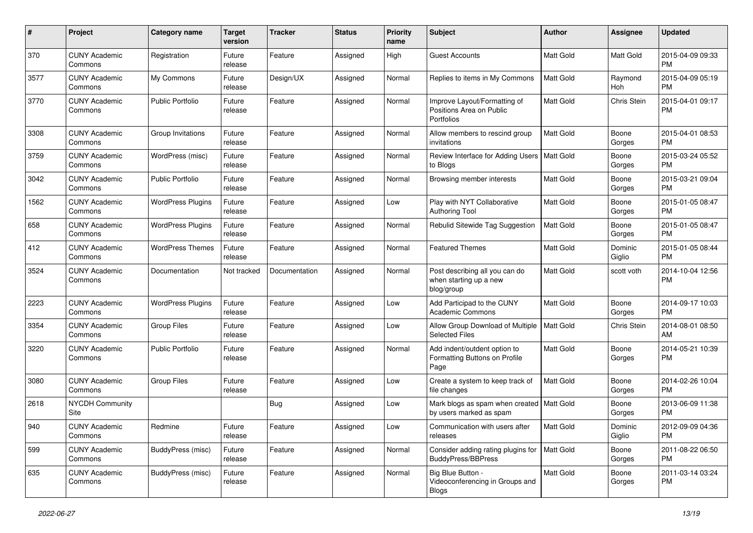| #    | Project                         | <b>Category name</b>     | <b>Target</b><br>version | <b>Tracker</b> | <b>Status</b> | <b>Priority</b><br>name | <b>Subject</b>                                                                | Author           | <b>Assignee</b>   | <b>Updated</b>                |
|------|---------------------------------|--------------------------|--------------------------|----------------|---------------|-------------------------|-------------------------------------------------------------------------------|------------------|-------------------|-------------------------------|
| 370  | <b>CUNY Academic</b><br>Commons | Registration             | Future<br>release        | Feature        | Assigned      | High                    | Guest Accounts                                                                | Matt Gold        | Matt Gold         | 2015-04-09 09:33<br><b>PM</b> |
| 3577 | <b>CUNY Academic</b><br>Commons | My Commons               | Future<br>release        | Design/UX      | Assigned      | Normal                  | Replies to items in My Commons                                                | Matt Gold        | Raymond<br>Hoh    | 2015-04-09 05:19<br><b>PM</b> |
| 3770 | <b>CUNY Academic</b><br>Commons | <b>Public Portfolio</b>  | Future<br>release        | Feature        | Assigned      | Normal                  | Improve Layout/Formatting of<br>Positions Area on Public<br><b>Portfolios</b> | Matt Gold        | Chris Stein       | 2015-04-01 09:17<br><b>PM</b> |
| 3308 | <b>CUNY Academic</b><br>Commons | Group Invitations        | Future<br>release        | Feature        | Assigned      | Normal                  | Allow members to rescind group<br>invitations                                 | Matt Gold        | Boone<br>Gorges   | 2015-04-01 08:53<br><b>PM</b> |
| 3759 | <b>CUNY Academic</b><br>Commons | WordPress (misc)         | Future<br>release        | Feature        | Assigned      | Normal                  | Review Interface for Adding Users<br>to Blogs                                 | <b>Matt Gold</b> | Boone<br>Gorges   | 2015-03-24 05:52<br><b>PM</b> |
| 3042 | <b>CUNY Academic</b><br>Commons | <b>Public Portfolio</b>  | Future<br>release        | Feature        | Assigned      | Normal                  | Browsing member interests                                                     | <b>Matt Gold</b> | Boone<br>Gorges   | 2015-03-21 09:04<br><b>PM</b> |
| 1562 | <b>CUNY Academic</b><br>Commons | <b>WordPress Plugins</b> | Future<br>release        | Feature        | Assigned      | Low                     | Play with NYT Collaborative<br><b>Authoring Tool</b>                          | Matt Gold        | Boone<br>Gorges   | 2015-01-05 08:47<br><b>PM</b> |
| 658  | <b>CUNY Academic</b><br>Commons | <b>WordPress Plugins</b> | Future<br>release        | Feature        | Assigned      | Normal                  | Rebulid Sitewide Tag Suggestion                                               | <b>Matt Gold</b> | Boone<br>Gorges   | 2015-01-05 08:47<br><b>PM</b> |
| 412  | <b>CUNY Academic</b><br>Commons | <b>WordPress Themes</b>  | Future<br>release        | Feature        | Assigned      | Normal                  | <b>Featured Themes</b>                                                        | Matt Gold        | Dominic<br>Giglio | 2015-01-05 08:44<br><b>PM</b> |
| 3524 | <b>CUNY Academic</b><br>Commons | Documentation            | Not tracked              | Documentation  | Assigned      | Normal                  | Post describing all you can do<br>when starting up a new<br>blog/group        | <b>Matt Gold</b> | scott voth        | 2014-10-04 12:56<br><b>PM</b> |
| 2223 | <b>CUNY Academic</b><br>Commons | <b>WordPress Plugins</b> | Future<br>release        | Feature        | Assigned      | Low                     | Add Participad to the CUNY<br><b>Academic Commons</b>                         | <b>Matt Gold</b> | Boone<br>Gorges   | 2014-09-17 10:03<br><b>PM</b> |
| 3354 | <b>CUNY Academic</b><br>Commons | <b>Group Files</b>       | Future<br>release        | Feature        | Assigned      | Low                     | Allow Group Download of Multiple<br><b>Selected Files</b>                     | Matt Gold        | Chris Stein       | 2014-08-01 08:50<br>AM        |
| 3220 | <b>CUNY Academic</b><br>Commons | <b>Public Portfolio</b>  | Future<br>release        | Feature        | Assigned      | Normal                  | Add indent/outdent option to<br>Formatting Buttons on Profile<br>Page         | Matt Gold        | Boone<br>Gorges   | 2014-05-21 10:39<br><b>PM</b> |
| 3080 | <b>CUNY Academic</b><br>Commons | <b>Group Files</b>       | Future<br>release        | Feature        | Assigned      | Low                     | Create a system to keep track of<br>file changes                              | <b>Matt Gold</b> | Boone<br>Gorges   | 2014-02-26 10:04<br><b>PM</b> |
| 2618 | <b>NYCDH Community</b><br>Site  |                          |                          | Bug            | Assigned      | Low                     | Mark blogs as spam when created   Matt Gold<br>by users marked as spam        |                  | Boone<br>Gorges   | 2013-06-09 11:38<br>PM        |
| 940  | <b>CUNY Academic</b><br>Commons | Redmine                  | Future<br>release        | Feature        | Assigned      | Low                     | Communication with users after<br>releases                                    | Matt Gold        | Dominic<br>Giglio | 2012-09-09 04:36<br><b>PM</b> |
| 599  | <b>CUNY Academic</b><br>Commons | BuddyPress (misc)        | Future<br>release        | Feature        | Assigned      | Normal                  | Consider adding rating plugins for   Matt Gold<br>BuddyPress/BBPress          |                  | Boone<br>Gorges   | 2011-08-22 06:50<br><b>PM</b> |
| 635  | <b>CUNY Academic</b><br>Commons | BuddyPress (misc)        | Future<br>release        | Feature        | Assigned      | Normal                  | Big Blue Button -<br>Videoconferencing in Groups and<br>Blogs                 | Matt Gold        | Boone<br>Gorges   | 2011-03-14 03:24<br>PM        |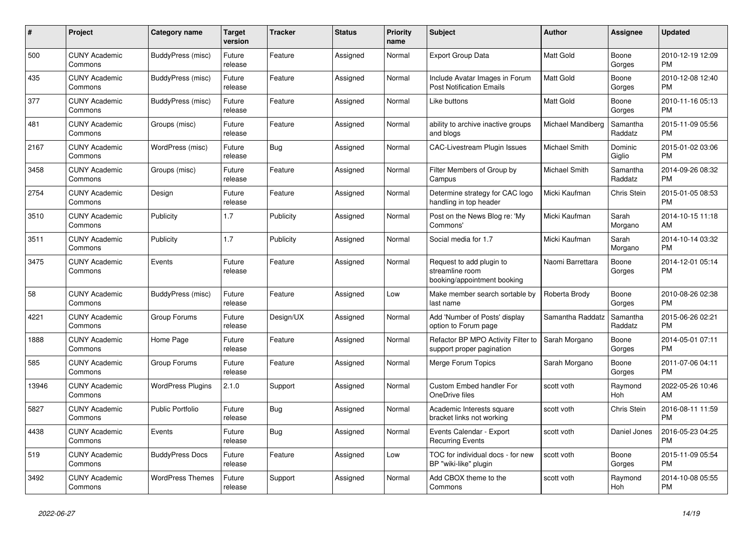| $\pmb{\#}$ | <b>Project</b>                  | Category name            | <b>Target</b><br>version | <b>Tracker</b> | <b>Status</b> | <b>Priority</b><br>name | <b>Subject</b>                                                             | <b>Author</b>     | <b>Assignee</b>       | <b>Updated</b>                |
|------------|---------------------------------|--------------------------|--------------------------|----------------|---------------|-------------------------|----------------------------------------------------------------------------|-------------------|-----------------------|-------------------------------|
| 500        | <b>CUNY Academic</b><br>Commons | BuddyPress (misc)        | Future<br>release        | Feature        | Assigned      | Normal                  | <b>Export Group Data</b>                                                   | <b>Matt Gold</b>  | Boone<br>Gorges       | 2010-12-19 12:09<br><b>PM</b> |
| 435        | <b>CUNY Academic</b><br>Commons | BuddyPress (misc)        | Future<br>release        | Feature        | Assigned      | Normal                  | Include Avatar Images in Forum<br><b>Post Notification Emails</b>          | <b>Matt Gold</b>  | Boone<br>Gorges       | 2010-12-08 12:40<br><b>PM</b> |
| 377        | <b>CUNY Academic</b><br>Commons | BuddyPress (misc)        | Future<br>release        | Feature        | Assigned      | Normal                  | Like buttons                                                               | Matt Gold         | Boone<br>Gorges       | 2010-11-16 05:13<br><b>PM</b> |
| 481        | <b>CUNY Academic</b><br>Commons | Groups (misc)            | Future<br>release        | Feature        | Assigned      | Normal                  | ability to archive inactive groups<br>and blogs                            | Michael Mandiberg | Samantha<br>Raddatz   | 2015-11-09 05:56<br><b>PM</b> |
| 2167       | <b>CUNY Academic</b><br>Commons | WordPress (misc)         | Future<br>release        | Bug            | Assigned      | Normal                  | <b>CAC-Livestream Plugin Issues</b>                                        | Michael Smith     | Dominic<br>Giglio     | 2015-01-02 03:06<br><b>PM</b> |
| 3458       | <b>CUNY Academic</b><br>Commons | Groups (misc)            | Future<br>release        | Feature        | Assigned      | Normal                  | Filter Members of Group by<br>Campus                                       | Michael Smith     | Samantha<br>Raddatz   | 2014-09-26 08:32<br><b>PM</b> |
| 2754       | <b>CUNY Academic</b><br>Commons | Design                   | Future<br>release        | Feature        | Assigned      | Normal                  | Determine strategy for CAC logo<br>handling in top header                  | Micki Kaufman     | Chris Stein           | 2015-01-05 08:53<br><b>PM</b> |
| 3510       | <b>CUNY Academic</b><br>Commons | Publicity                | 1.7                      | Publicity      | Assigned      | Normal                  | Post on the News Blog re: 'My<br>Commons'                                  | Micki Kaufman     | Sarah<br>Morgano      | 2014-10-15 11:18<br>AM        |
| 3511       | <b>CUNY Academic</b><br>Commons | Publicity                | 1.7                      | Publicity      | Assigned      | Normal                  | Social media for 1.7                                                       | Micki Kaufman     | Sarah<br>Morgano      | 2014-10-14 03:32<br><b>PM</b> |
| 3475       | <b>CUNY Academic</b><br>Commons | Events                   | Future<br>release        | Feature        | Assigned      | Normal                  | Request to add plugin to<br>streamline room<br>booking/appointment booking | Naomi Barrettara  | Boone<br>Gorges       | 2014-12-01 05:14<br><b>PM</b> |
| 58         | <b>CUNY Academic</b><br>Commons | BuddyPress (misc)        | Future<br>release        | Feature        | Assigned      | Low                     | Make member search sortable by<br>last name                                | Roberta Brody     | Boone<br>Gorges       | 2010-08-26 02:38<br><b>PM</b> |
| 4221       | <b>CUNY Academic</b><br>Commons | Group Forums             | Future<br>release        | Design/UX      | Assigned      | Normal                  | Add 'Number of Posts' display<br>option to Forum page                      | Samantha Raddatz  | Samantha<br>Raddatz   | 2015-06-26 02:21<br><b>PM</b> |
| 1888       | <b>CUNY Academic</b><br>Commons | Home Page                | Future<br>release        | Feature        | Assigned      | Normal                  | Refactor BP MPO Activity Filter to<br>support proper pagination            | Sarah Morgano     | Boone<br>Gorges       | 2014-05-01 07:11<br><b>PM</b> |
| 585        | <b>CUNY Academic</b><br>Commons | Group Forums             | Future<br>release        | Feature        | Assigned      | Normal                  | Merge Forum Topics                                                         | Sarah Morgano     | Boone<br>Gorges       | 2011-07-06 04:11<br><b>PM</b> |
| 13946      | <b>CUNY Academic</b><br>Commons | <b>WordPress Plugins</b> | 2.1.0                    | Support        | Assigned      | Normal                  | Custom Embed handler For<br>OneDrive files                                 | scott voth        | Raymond<br><b>Hoh</b> | 2022-05-26 10:46<br>AM        |
| 5827       | <b>CUNY Academic</b><br>Commons | <b>Public Portfolio</b>  | Future<br>release        | <b>Bug</b>     | Assigned      | Normal                  | Academic Interests square<br>bracket links not working                     | scott voth        | Chris Stein           | 2016-08-11 11:59<br><b>PM</b> |
| 4438       | <b>CUNY Academic</b><br>Commons | Events                   | Future<br>release        | <b>Bug</b>     | Assigned      | Normal                  | Events Calendar - Export<br><b>Recurring Events</b>                        | scott voth        | Daniel Jones          | 2016-05-23 04:25<br><b>PM</b> |
| 519        | <b>CUNY Academic</b><br>Commons | <b>BuddyPress Docs</b>   | Future<br>release        | Feature        | Assigned      | Low                     | TOC for individual docs - for new<br>BP "wiki-like" plugin                 | scott voth        | Boone<br>Gorges       | 2015-11-09 05:54<br><b>PM</b> |
| 3492       | <b>CUNY Academic</b><br>Commons | <b>WordPress Themes</b>  | Future<br>release        | Support        | Assigned      | Normal                  | Add CBOX theme to the<br>Commons                                           | scott voth        | Raymond<br>Hoh        | 2014-10-08 05:55<br><b>PM</b> |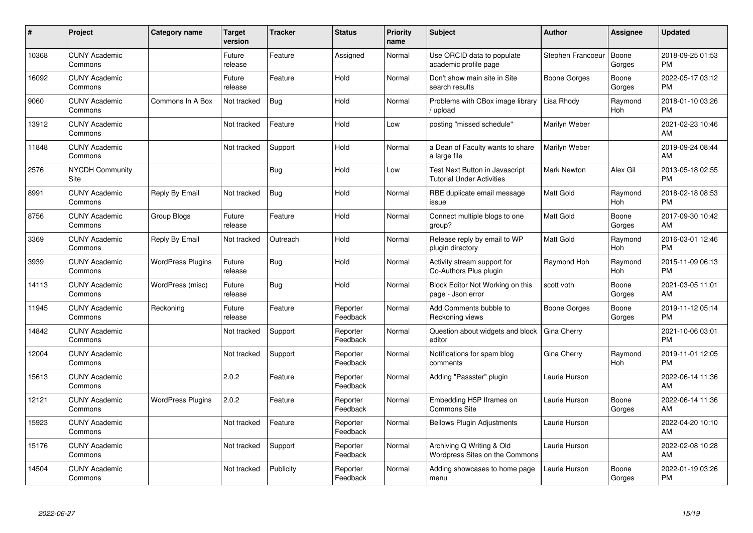| #     | <b>Project</b>                  | <b>Category name</b>     | <b>Target</b><br>version | Tracker    | <b>Status</b>        | <b>Priority</b><br>name | <b>Subject</b>                                                     | <b>Author</b>       | Assignee        | <b>Updated</b>                |
|-------|---------------------------------|--------------------------|--------------------------|------------|----------------------|-------------------------|--------------------------------------------------------------------|---------------------|-----------------|-------------------------------|
| 10368 | <b>CUNY Academic</b><br>Commons |                          | Future<br>release        | Feature    | Assigned             | Normal                  | Use ORCID data to populate<br>academic profile page                | Stephen Francoeur   | Boone<br>Gorges | 2018-09-25 01:53<br><b>PM</b> |
| 16092 | <b>CUNY Academic</b><br>Commons |                          | Future<br>release        | Feature    | Hold                 | Normal                  | Don't show main site in Site<br>search results                     | <b>Boone Gorges</b> | Boone<br>Gorges | 2022-05-17 03:12<br><b>PM</b> |
| 9060  | <b>CUNY Academic</b><br>Commons | Commons In A Box         | Not tracked              | Bug        | Hold                 | Normal                  | Problems with CBox image library<br>upload                         | Lisa Rhody          | Raymond<br>Hoh  | 2018-01-10 03:26<br><b>PM</b> |
| 13912 | <b>CUNY Academic</b><br>Commons |                          | Not tracked              | Feature    | Hold                 | Low                     | posting "missed schedule"                                          | Marilyn Weber       |                 | 2021-02-23 10:46<br>AM        |
| 11848 | <b>CUNY Academic</b><br>Commons |                          | Not tracked              | Support    | Hold                 | Normal                  | a Dean of Faculty wants to share<br>a large file                   | Marilyn Weber       |                 | 2019-09-24 08:44<br>AM        |
| 2576  | NYCDH Community<br>Site         |                          |                          | Bug        | Hold                 | Low                     | Test Next Button in Javascript<br><b>Tutorial Under Activities</b> | Mark Newton         | Alex Gil        | 2013-05-18 02:55<br><b>PM</b> |
| 8991  | <b>CUNY Academic</b><br>Commons | Reply By Email           | Not tracked              | Bug        | Hold                 | Normal                  | RBE duplicate email message<br>issue                               | Matt Gold           | Raymond<br>Hoh  | 2018-02-18 08:53<br><b>PM</b> |
| 8756  | <b>CUNY Academic</b><br>Commons | Group Blogs              | Future<br>release        | Feature    | Hold                 | Normal                  | Connect multiple blogs to one<br>group?                            | Matt Gold           | Boone<br>Gorges | 2017-09-30 10:42<br>AM        |
| 3369  | <b>CUNY Academic</b><br>Commons | Reply By Email           | Not tracked              | Outreach   | Hold                 | Normal                  | Release reply by email to WP<br>plugin directory                   | Matt Gold           | Raymond<br>Hoh  | 2016-03-01 12:46<br><b>PM</b> |
| 3939  | <b>CUNY Academic</b><br>Commons | <b>WordPress Plugins</b> | Future<br>release        | <b>Bug</b> | Hold                 | Normal                  | Activity stream support for<br>Co-Authors Plus plugin              | Raymond Hoh         | Raymond<br>Hoh  | 2015-11-09 06:13<br><b>PM</b> |
| 14113 | <b>CUNY Academic</b><br>Commons | WordPress (misc)         | Future<br>release        | <b>Bug</b> | Hold                 | Normal                  | Block Editor Not Working on this<br>page - Json error              | scott voth          | Boone<br>Gorges | 2021-03-05 11:01<br>AM        |
| 11945 | <b>CUNY Academic</b><br>Commons | Reckoning                | Future<br>release        | Feature    | Reporter<br>Feedback | Normal                  | Add Comments bubble to<br>Reckoning views                          | Boone Gorges        | Boone<br>Gorges | 2019-11-12 05:14<br><b>PM</b> |
| 14842 | <b>CUNY Academic</b><br>Commons |                          | Not tracked              | Support    | Reporter<br>Feedback | Normal                  | Question about widgets and block<br>editor                         | Gina Cherry         |                 | 2021-10-06 03:01<br><b>PM</b> |
| 12004 | <b>CUNY Academic</b><br>Commons |                          | Not tracked              | Support    | Reporter<br>Feedback | Normal                  | Notifications for spam blog<br>comments                            | Gina Cherry         | Raymond<br>Hoh  | 2019-11-01 12:05<br><b>PM</b> |
| 15613 | <b>CUNY Academic</b><br>Commons |                          | 2.0.2                    | Feature    | Reporter<br>Feedback | Normal                  | Adding "Passster" plugin                                           | Laurie Hurson       |                 | 2022-06-14 11:36<br>AM        |
| 12121 | <b>CUNY Academic</b><br>Commons | <b>WordPress Plugins</b> | 2.0.2                    | Feature    | Reporter<br>Feedback | Normal                  | Embedding H5P Iframes on<br><b>Commons Site</b>                    | Laurie Hurson       | Boone<br>Gorges | 2022-06-14 11:36<br>AM        |
| 15923 | <b>CUNY Academic</b><br>Commons |                          | Not tracked              | Feature    | Reporter<br>Feedback | Normal                  | <b>Bellows Plugin Adjustments</b>                                  | Laurie Hurson       |                 | 2022-04-20 10:10<br>AM        |
| 15176 | <b>CUNY Academic</b><br>Commons |                          | Not tracked              | Support    | Reporter<br>Feedback | Normal                  | Archiving Q Writing & Old<br>Wordpress Sites on the Commons        | Laurie Hurson       |                 | 2022-02-08 10:28<br>AM        |
| 14504 | <b>CUNY Academic</b><br>Commons |                          | Not tracked              | Publicity  | Reporter<br>Feedback | Normal                  | Adding showcases to home page<br>menu                              | Laurie Hurson       | Boone<br>Gorges | 2022-01-19 03:26<br>PM        |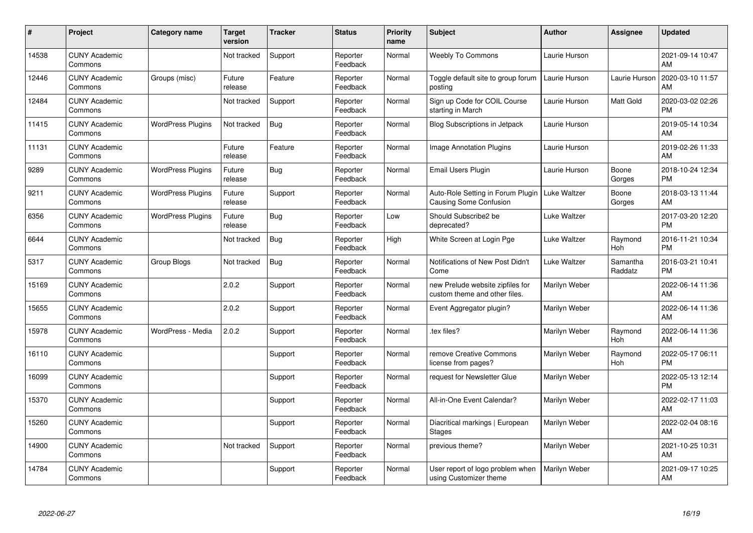| #     | Project                         | Category name            | <b>Target</b><br>version | <b>Tracker</b> | <b>Status</b>        | <b>Priority</b><br>name | <b>Subject</b>                                                    | <b>Author</b>       | <b>Assignee</b>     | <b>Updated</b>                |
|-------|---------------------------------|--------------------------|--------------------------|----------------|----------------------|-------------------------|-------------------------------------------------------------------|---------------------|---------------------|-------------------------------|
| 14538 | <b>CUNY Academic</b><br>Commons |                          | Not tracked              | Support        | Reporter<br>Feedback | Normal                  | <b>Weebly To Commons</b>                                          | Laurie Hurson       |                     | 2021-09-14 10:47<br>AM        |
| 12446 | <b>CUNY Academic</b><br>Commons | Groups (misc)            | Future<br>release        | Feature        | Reporter<br>Feedback | Normal                  | Toggle default site to group forum<br>posting                     | Laurie Hurson       | Laurie Hurson       | 2020-03-10 11:57<br>AM        |
| 12484 | <b>CUNY Academic</b><br>Commons |                          | Not tracked              | Support        | Reporter<br>Feedback | Normal                  | Sign up Code for COIL Course<br>starting in March                 | Laurie Hurson       | Matt Gold           | 2020-03-02 02:26<br><b>PM</b> |
| 11415 | <b>CUNY Academic</b><br>Commons | <b>WordPress Plugins</b> | Not tracked              | <b>Bug</b>     | Reporter<br>Feedback | Normal                  | Blog Subscriptions in Jetpack                                     | Laurie Hurson       |                     | 2019-05-14 10:34<br>AM        |
| 11131 | <b>CUNY Academic</b><br>Commons |                          | Future<br>release        | Feature        | Reporter<br>Feedback | Normal                  | <b>Image Annotation Plugins</b>                                   | Laurie Hurson       |                     | 2019-02-26 11:33<br>AM        |
| 9289  | <b>CUNY Academic</b><br>Commons | <b>WordPress Plugins</b> | Future<br>release        | Bug            | Reporter<br>Feedback | Normal                  | Email Users Plugin                                                | Laurie Hurson       | Boone<br>Gorges     | 2018-10-24 12:34<br><b>PM</b> |
| 9211  | <b>CUNY Academic</b><br>Commons | <b>WordPress Plugins</b> | Future<br>release        | Support        | Reporter<br>Feedback | Normal                  | Auto-Role Setting in Forum Plugin<br>Causing Some Confusion       | <b>Luke Waltzer</b> | Boone<br>Gorges     | 2018-03-13 11:44<br>AM        |
| 6356  | <b>CUNY Academic</b><br>Commons | <b>WordPress Plugins</b> | Future<br>release        | <b>Bug</b>     | Reporter<br>Feedback | Low                     | Should Subscribe2 be<br>deprecated?                               | <b>Luke Waltzer</b> |                     | 2017-03-20 12:20<br><b>PM</b> |
| 6644  | <b>CUNY Academic</b><br>Commons |                          | Not tracked              | <b>Bug</b>     | Reporter<br>Feedback | High                    | White Screen at Login Pge                                         | Luke Waltzer        | Raymond<br>Hoh      | 2016-11-21 10:34<br><b>PM</b> |
| 5317  | <b>CUNY Academic</b><br>Commons | <b>Group Blogs</b>       | Not tracked              | <b>Bug</b>     | Reporter<br>Feedback | Normal                  | Notifications of New Post Didn't<br>Come                          | <b>Luke Waltzer</b> | Samantha<br>Raddatz | 2016-03-21 10:41<br><b>PM</b> |
| 15169 | <b>CUNY Academic</b><br>Commons |                          | 2.0.2                    | Support        | Reporter<br>Feedback | Normal                  | new Prelude website zipfiles for<br>custom theme and other files. | Marilyn Weber       |                     | 2022-06-14 11:36<br>AM        |
| 15655 | <b>CUNY Academic</b><br>Commons |                          | 2.0.2                    | Support        | Reporter<br>Feedback | Normal                  | Event Aggregator plugin?                                          | Marilyn Weber       |                     | 2022-06-14 11:36<br>AM        |
| 15978 | <b>CUNY Academic</b><br>Commons | WordPress - Media        | 2.0.2                    | Support        | Reporter<br>Feedback | Normal                  | .tex files?                                                       | Marilyn Weber       | Raymond<br>Hoh      | 2022-06-14 11:36<br>AM        |
| 16110 | <b>CUNY Academic</b><br>Commons |                          |                          | Support        | Reporter<br>Feedback | Normal                  | remove Creative Commons<br>license from pages?                    | Marilyn Weber       | Raymond<br>Hoh      | 2022-05-17 06:11<br><b>PM</b> |
| 16099 | <b>CUNY Academic</b><br>Commons |                          |                          | Support        | Reporter<br>Feedback | Normal                  | request for Newsletter Glue                                       | Marilyn Weber       |                     | 2022-05-13 12:14<br><b>PM</b> |
| 15370 | <b>CUNY Academic</b><br>Commons |                          |                          | Support        | Reporter<br>Feedback | Normal                  | All-in-One Event Calendar?                                        | Marilyn Weber       |                     | 2022-02-17 11:03<br>AM        |
| 15260 | <b>CUNY Academic</b><br>Commons |                          |                          | Support        | Reporter<br>Feedback | Normal                  | Diacritical markings   European<br><b>Stages</b>                  | Marilyn Weber       |                     | 2022-02-04 08:16<br>AM        |
| 14900 | <b>CUNY Academic</b><br>Commons |                          | Not tracked              | Support        | Reporter<br>Feedback | Normal                  | previous theme?                                                   | Marilyn Weber       |                     | 2021-10-25 10:31<br>AM        |
| 14784 | <b>CUNY Academic</b><br>Commons |                          |                          | Support        | Reporter<br>Feedback | Normal                  | User report of logo problem when<br>using Customizer theme        | Marilyn Weber       |                     | 2021-09-17 10:25<br>AM        |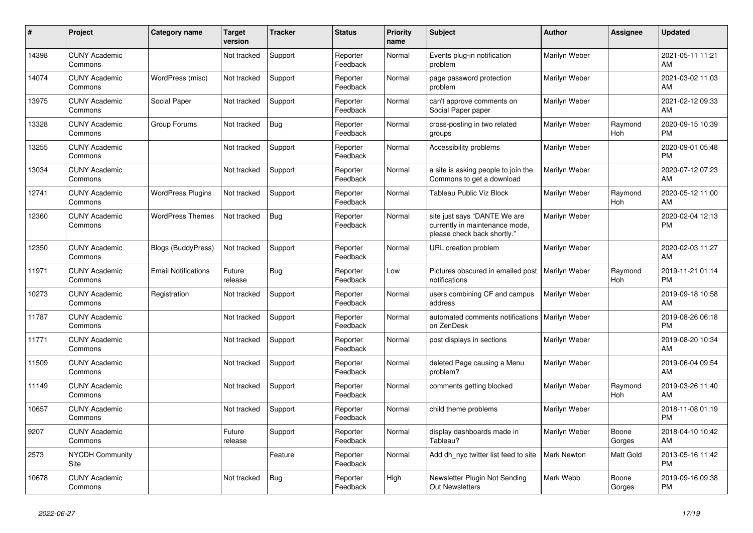| #     | Project                         | Category name              | Target<br>version | <b>Tracker</b> | <b>Status</b>        | <b>Priority</b><br>name | <b>Subject</b>                                                                                | <b>Author</b>      | <b>Assignee</b>       | <b>Updated</b>                |
|-------|---------------------------------|----------------------------|-------------------|----------------|----------------------|-------------------------|-----------------------------------------------------------------------------------------------|--------------------|-----------------------|-------------------------------|
| 14398 | <b>CUNY Academic</b><br>Commons |                            | Not tracked       | Support        | Reporter<br>Feedback | Normal                  | Events plug-in notification<br>problem                                                        | Marilyn Weber      |                       | 2021-05-11 11:21<br>AM        |
| 14074 | <b>CUNY Academic</b><br>Commons | WordPress (misc)           | Not tracked       | Support        | Reporter<br>Feedback | Normal                  | page password protection<br>problem                                                           | Marilyn Weber      |                       | 2021-03-02 11:03<br>AM        |
| 13975 | <b>CUNY Academic</b><br>Commons | Social Paper               | Not tracked       | Support        | Reporter<br>Feedback | Normal                  | can't approve comments on<br>Social Paper paper                                               | Marilyn Weber      |                       | 2021-02-12 09:33<br>AM        |
| 13328 | <b>CUNY Academic</b><br>Commons | Group Forums               | Not tracked       | <b>Bug</b>     | Reporter<br>Feedback | Normal                  | cross-posting in two related<br>groups                                                        | Marilyn Weber      | Raymond<br><b>Hoh</b> | 2020-09-15 10:39<br><b>PM</b> |
| 13255 | <b>CUNY Academic</b><br>Commons |                            | Not tracked       | Support        | Reporter<br>Feedback | Normal                  | Accessibility problems                                                                        | Marilyn Weber      |                       | 2020-09-01 05:48<br><b>PM</b> |
| 13034 | <b>CUNY Academic</b><br>Commons |                            | Not tracked       | Support        | Reporter<br>Feedback | Normal                  | a site is asking people to join the<br>Commons to get a download                              | Marilyn Weber      |                       | 2020-07-12 07:23<br>AM        |
| 12741 | <b>CUNY Academic</b><br>Commons | <b>WordPress Plugins</b>   | Not tracked       | Support        | Reporter<br>Feedback | Normal                  | Tableau Public Viz Block                                                                      | Marilyn Weber      | Raymond<br>Hoh        | 2020-05-12 11:00<br>AM        |
| 12360 | <b>CUNY Academic</b><br>Commons | <b>WordPress Themes</b>    | Not tracked       | Bug            | Reporter<br>Feedback | Normal                  | site just says "DANTE We are<br>currently in maintenance mode,<br>please check back shortly." | Marilyn Weber      |                       | 2020-02-04 12:13<br><b>PM</b> |
| 12350 | <b>CUNY Academic</b><br>Commons | <b>Blogs (BuddyPress)</b>  | Not tracked       | Support        | Reporter<br>Feedback | Normal                  | URL creation problem                                                                          | Marilyn Weber      |                       | 2020-02-03 11:27<br>AM        |
| 11971 | <b>CUNY Academic</b><br>Commons | <b>Email Notifications</b> | Future<br>release | Bug            | Reporter<br>Feedback | Low                     | Pictures obscured in emailed post<br>notifications                                            | Marilyn Weber      | Raymond<br>Hoh        | 2019-11-21 01:14<br><b>PM</b> |
| 10273 | <b>CUNY Academic</b><br>Commons | Registration               | Not tracked       | Support        | Reporter<br>Feedback | Normal                  | users combining CF and campus<br>address                                                      | Marilyn Weber      |                       | 2019-09-18 10:58<br>AM        |
| 11787 | <b>CUNY Academic</b><br>Commons |                            | Not tracked       | Support        | Reporter<br>Feedback | Normal                  | automated comments notifications<br>on ZenDesk                                                | Marilyn Weber      |                       | 2019-08-26 06:18<br><b>PM</b> |
| 11771 | <b>CUNY Academic</b><br>Commons |                            | Not tracked       | Support        | Reporter<br>Feedback | Normal                  | post displays in sections                                                                     | Marilyn Weber      |                       | 2019-08-20 10:34<br>AM        |
| 11509 | <b>CUNY Academic</b><br>Commons |                            | Not tracked       | Support        | Reporter<br>Feedback | Normal                  | deleted Page causing a Menu<br>problem?                                                       | Marilyn Weber      |                       | 2019-06-04 09:54<br>AM        |
| 11149 | <b>CUNY Academic</b><br>Commons |                            | Not tracked       | Support        | Reporter<br>Feedback | Normal                  | comments getting blocked                                                                      | Marilyn Weber      | Raymond<br>Hoh        | 2019-03-26 11:40<br>AM        |
| 10657 | <b>CUNY Academic</b><br>Commons |                            | Not tracked       | Support        | Reporter<br>Feedback | Normal                  | child theme problems                                                                          | Marilyn Weber      |                       | 2018-11-08 01:19<br><b>PM</b> |
| 9207  | <b>CUNY Academic</b><br>Commons |                            | Future<br>release | Support        | Reporter<br>Feedback | Normal                  | display dashboards made in<br>Tableau?                                                        | Marilyn Weber      | Boone<br>Gorges       | 2018-04-10 10:42<br>AM        |
| 2573  | <b>NYCDH Community</b><br>Site  |                            |                   | Feature        | Reporter<br>Feedback | Normal                  | Add dh_nyc twitter list feed to site                                                          | <b>Mark Newton</b> | Matt Gold             | 2013-05-16 11:42<br><b>PM</b> |
| 10678 | <b>CUNY Academic</b><br>Commons |                            | Not tracked       | Bug            | Reporter<br>Feedback | High                    | Newsletter Plugin Not Sending<br><b>Out Newsletters</b>                                       | Mark Webb          | Boone<br>Gorges       | 2019-09-16 09:38<br><b>PM</b> |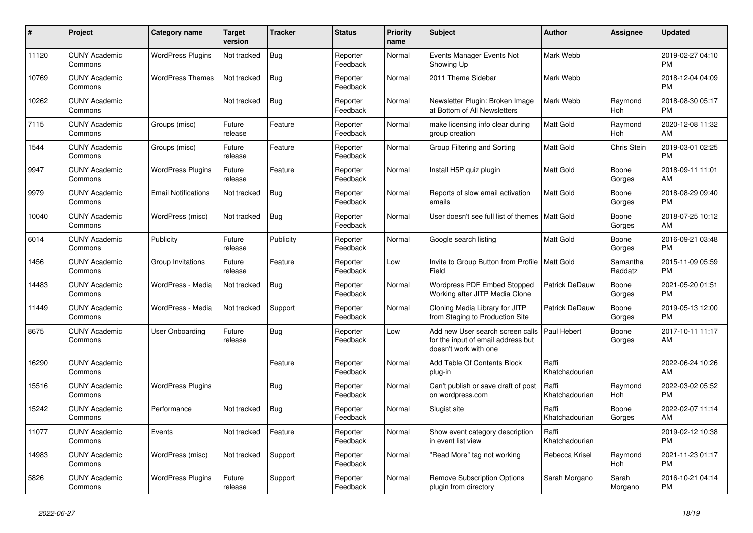| #     | Project                         | <b>Category name</b>       | Target<br>version | <b>Tracker</b> | <b>Status</b>        | <b>Priority</b><br>name | <b>Subject</b>                                                                                  | <b>Author</b>           | <b>Assignee</b>     | <b>Updated</b>                |
|-------|---------------------------------|----------------------------|-------------------|----------------|----------------------|-------------------------|-------------------------------------------------------------------------------------------------|-------------------------|---------------------|-------------------------------|
| 11120 | <b>CUNY Academic</b><br>Commons | <b>WordPress Plugins</b>   | Not tracked       | <b>Bug</b>     | Reporter<br>Feedback | Normal                  | Events Manager Events Not<br>Showing Up                                                         | Mark Webb               |                     | 2019-02-27 04:10<br><b>PM</b> |
| 10769 | <b>CUNY Academic</b><br>Commons | <b>WordPress Themes</b>    | Not tracked       | <b>Bug</b>     | Reporter<br>Feedback | Normal                  | 2011 Theme Sidebar                                                                              | Mark Webb               |                     | 2018-12-04 04:09<br><b>PM</b> |
| 10262 | <b>CUNY Academic</b><br>Commons |                            | Not tracked       | Bug            | Reporter<br>Feedback | Normal                  | Newsletter Plugin: Broken Image<br>at Bottom of All Newsletters                                 | Mark Webb               | Raymond<br>Hoh      | 2018-08-30 05:17<br><b>PM</b> |
| 7115  | <b>CUNY Academic</b><br>Commons | Groups (misc)              | Future<br>release | Feature        | Reporter<br>Feedback | Normal                  | make licensing info clear during<br>group creation                                              | Matt Gold               | Raymond<br>Hoh      | 2020-12-08 11:32<br>AM        |
| 1544  | <b>CUNY Academic</b><br>Commons | Groups (misc)              | Future<br>release | Feature        | Reporter<br>Feedback | Normal                  | Group Filtering and Sorting                                                                     | <b>Matt Gold</b>        | Chris Stein         | 2019-03-01 02:25<br><b>PM</b> |
| 9947  | <b>CUNY Academic</b><br>Commons | <b>WordPress Plugins</b>   | Future<br>release | Feature        | Reporter<br>Feedback | Normal                  | Install H5P quiz plugin                                                                         | Matt Gold               | Boone<br>Gorges     | 2018-09-11 11:01<br>AM        |
| 9979  | <b>CUNY Academic</b><br>Commons | <b>Email Notifications</b> | Not tracked       | Bug            | Reporter<br>Feedback | Normal                  | Reports of slow email activation<br>emails                                                      | <b>Matt Gold</b>        | Boone<br>Gorges     | 2018-08-29 09:40<br><b>PM</b> |
| 10040 | <b>CUNY Academic</b><br>Commons | WordPress (misc)           | Not tracked       | <b>Bug</b>     | Reporter<br>Feedback | Normal                  | User doesn't see full list of themes   Matt Gold                                                |                         | Boone<br>Gorges     | 2018-07-25 10:12<br>AM        |
| 6014  | <b>CUNY Academic</b><br>Commons | Publicity                  | Future<br>release | Publicity      | Reporter<br>Feedback | Normal                  | Google search listing                                                                           | <b>Matt Gold</b>        | Boone<br>Gorges     | 2016-09-21 03:48<br><b>PM</b> |
| 1456  | <b>CUNY Academic</b><br>Commons | Group Invitations          | Future<br>release | Feature        | Reporter<br>Feedback | Low                     | Invite to Group Button from Profile   Matt Gold<br>Field                                        |                         | Samantha<br>Raddatz | 2015-11-09 05:59<br><b>PM</b> |
| 14483 | <b>CUNY Academic</b><br>Commons | WordPress - Media          | Not tracked       | <b>Bug</b>     | Reporter<br>Feedback | Normal                  | Wordpress PDF Embed Stopped<br>Working after JITP Media Clone                                   | Patrick DeDauw          | Boone<br>Gorges     | 2021-05-20 01:51<br><b>PM</b> |
| 11449 | <b>CUNY Academic</b><br>Commons | WordPress - Media          | Not tracked       | Support        | Reporter<br>Feedback | Normal                  | Cloning Media Library for JITP<br>from Staging to Production Site                               | Patrick DeDauw          | Boone<br>Gorges     | 2019-05-13 12:00<br><b>PM</b> |
| 8675  | <b>CUNY Academic</b><br>Commons | <b>User Onboarding</b>     | Future<br>release | Bug            | Reporter<br>Feedback | Low                     | Add new User search screen calls<br>for the input of email address but<br>doesn't work with one | Paul Hebert             | Boone<br>Gorges     | 2017-10-11 11:17<br>AM        |
| 16290 | <b>CUNY Academic</b><br>Commons |                            |                   | Feature        | Reporter<br>Feedback | Normal                  | Add Table Of Contents Block<br>plug-in                                                          | Raffi<br>Khatchadourian |                     | 2022-06-24 10:26<br>AM        |
| 15516 | <b>CUNY Academic</b><br>Commons | <b>WordPress Plugins</b>   |                   | Bug            | Reporter<br>Feedback | Normal                  | Can't publish or save draft of post<br>on wordpress.com                                         | Raffi<br>Khatchadourian | Raymond<br>Hoh      | 2022-03-02 05:52<br><b>PM</b> |
| 15242 | <b>CUNY Academic</b><br>Commons | Performance                | Not tracked       | <b>Bug</b>     | Reporter<br>Feedback | Normal                  | Slugist site                                                                                    | Raffi<br>Khatchadourian | Boone<br>Gorges     | 2022-02-07 11:14<br>AM        |
| 11077 | <b>CUNY Academic</b><br>Commons | Events                     | Not tracked       | Feature        | Reporter<br>Feedback | Normal                  | Show event category description<br>in event list view                                           | Raffi<br>Khatchadourian |                     | 2019-02-12 10:38<br><b>PM</b> |
| 14983 | <b>CUNY Academic</b><br>Commons | WordPress (misc)           | Not tracked       | Support        | Reporter<br>Feedback | Normal                  | 'Read More" tag not working                                                                     | Rebecca Krisel          | Raymond<br>Hoh      | 2021-11-23 01:17<br><b>PM</b> |
| 5826  | <b>CUNY Academic</b><br>Commons | <b>WordPress Plugins</b>   | Future<br>release | Support        | Reporter<br>Feedback | Normal                  | <b>Remove Subscription Options</b><br>plugin from directory                                     | Sarah Morgano           | Sarah<br>Morgano    | 2016-10-21 04:14<br><b>PM</b> |